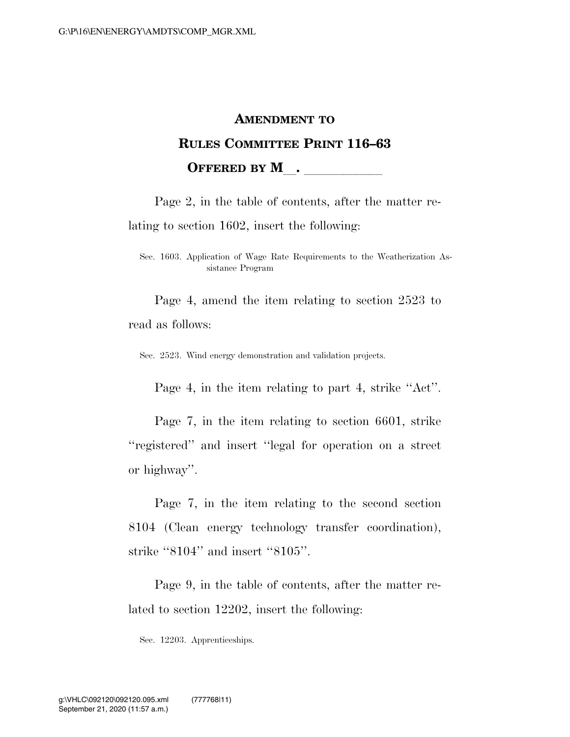# **AMENDMENT TO RULES COMMITTEE PRINT 116–63 OFFERED BY M** .

Page 2, in the table of contents, after the matter relating to section 1602, insert the following:

Sec. 1603. Application of Wage Rate Requirements to the Weatherization Assistance Program

Page 4, amend the item relating to section 2523 to read as follows:

Sec. 2523. Wind energy demonstration and validation projects.

Page 4, in the item relating to part 4, strike ''Act''.

Page 7, in the item relating to section 6601, strike ''registered'' and insert ''legal for operation on a street or highway''.

Page 7, in the item relating to the second section 8104 (Clean energy technology transfer coordination), strike "8104" and insert "8105".

Page 9, in the table of contents, after the matter related to section 12202, insert the following:

Sec. 12203. Apprenticeships.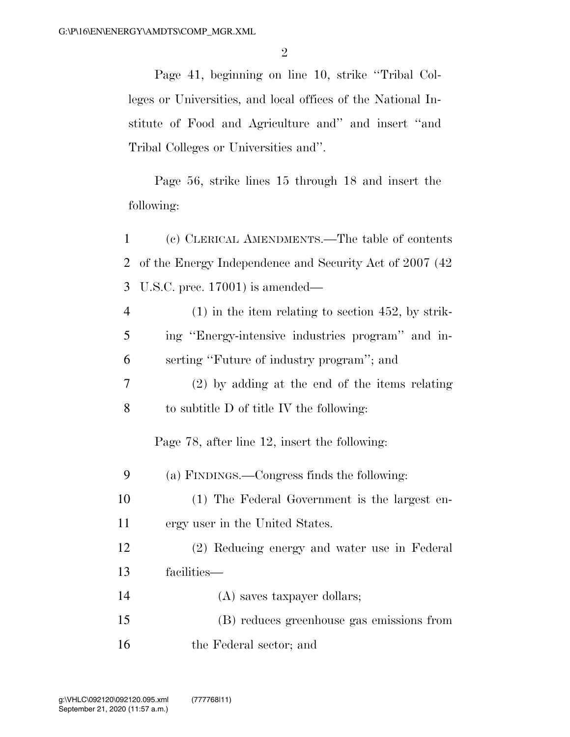Page 41, beginning on line 10, strike ''Tribal Colleges or Universities, and local offices of the National Institute of Food and Agriculture and'' and insert ''and Tribal Colleges or Universities and''.

Page 56, strike lines 15 through 18 and insert the following:

1 (c) CLERICAL AMENDMENTS.—The table of contents 2 of the Energy Independence and Security Act of 2007 (42 3 U.S.C. prec. 17001) is amended—

4 (1) in the item relating to section 452, by strik-5 ing ''Energy-intensive industries program'' and in-6 serting ''Future of industry program''; and

7 (2) by adding at the end of the items relating 8 to subtitle D of title IV the following:

Page 78, after line 12, insert the following:

9 (a) FINDINGS.—Congress finds the following:

10 (1) The Federal Government is the largest en-11 ergy user in the United States.

12 (2) Reducing energy and water use in Federal 13 facilities—

14 (A) saves taxpayer dollars;

15 (B) reduces greenhouse gas emissions from

16 the Federal sector; and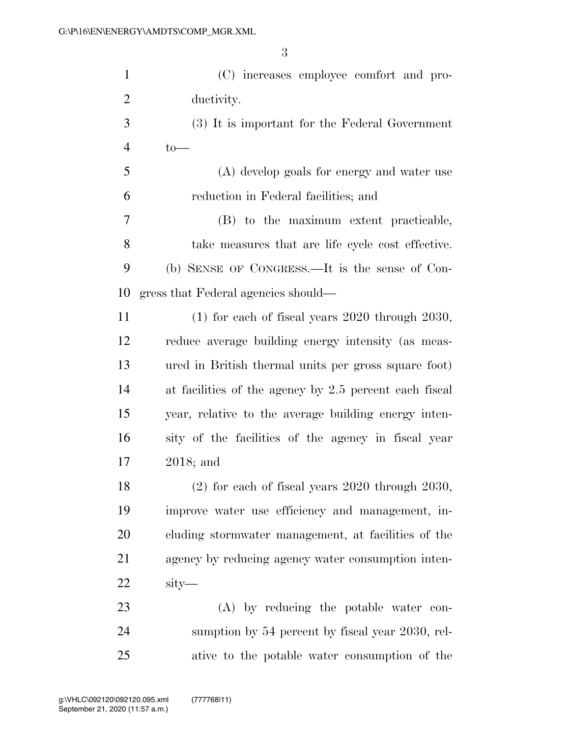| $\mathbf{1}$   | (C) increases employee comfort and pro-                |
|----------------|--------------------------------------------------------|
| $\overline{c}$ | ductivity.                                             |
| 3              | (3) It is important for the Federal Government         |
| 4              | $to-$                                                  |
| 5              | (A) develop goals for energy and water use             |
| 6              | reduction in Federal facilities; and                   |
| 7              | (B) to the maximum extent practicable,                 |
| 8              | take measures that are life cycle cost effective.      |
| 9              | (b) SENSE OF CONGRESS.—It is the sense of Con-         |
| 10             | gress that Federal agencies should—                    |
| 11             | $(1)$ for each of fiscal years 2020 through 2030,      |
| 12             | reduce average building energy intensity (as meas-     |
| 13             | ured in British thermal units per gross square foot)   |
| 14             | at facilities of the agency by 2.5 percent each fiscal |
| 15             | year, relative to the average building energy inten-   |
| 16             | sity of the facilities of the agency in fiscal year    |
| 17             | $2018$ ; and                                           |
| 18             | $(2)$ for each of fiscal years 2020 through 2030,      |
| 19             | improve water use efficiency and management, in-       |
| 20             | cluding stormwater management, at facilities of the    |
| 21             | agency by reducing agency water consumption inten-     |
| 22             | sity—                                                  |
| 23             | $(A)$ by reducing the potable water con-               |
| 24             | sumption by 54 percent by fiscal year 2030, rel-       |
| 25             | ative to the potable water consumption of the          |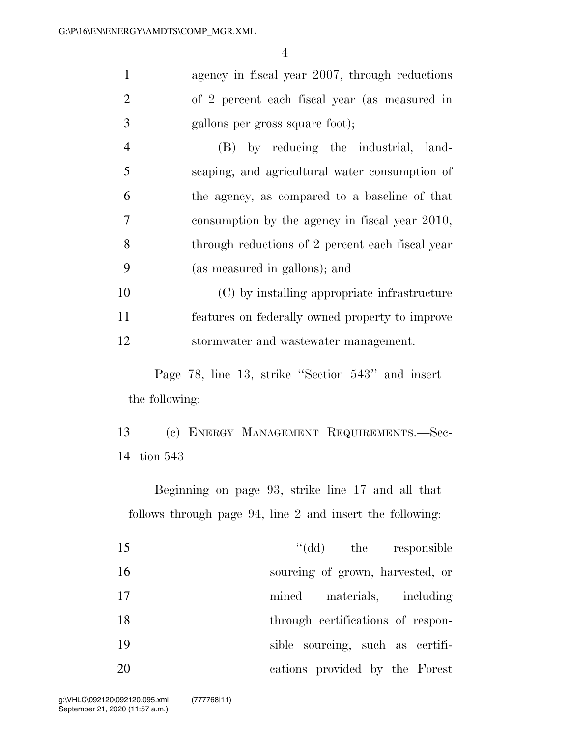agency in fiscal year 2007, through reductions of 2 percent each fiscal year (as measured in gallons per gross square foot);

 (B) by reducing the industrial, land- scaping, and agricultural water consumption of the agency, as compared to a baseline of that consumption by the agency in fiscal year 2010, through reductions of 2 percent each fiscal year (as measured in gallons); and

 (C) by installing appropriate infrastructure features on federally owned property to improve stormwater and wastewater management.

Page 78, line 13, strike ''Section 543'' and insert the following:

 (c) ENERGY MANAGEMENT REQUIREMENTS.—Sec-tion 543

Beginning on page 93, strike line 17 and all that follows through page 94, line 2 and insert the following:

| 15 | "(dd) the responsible             |
|----|-----------------------------------|
| 16 | sourcing of grown, harvested, or  |
| 17 | materials, including<br>mined     |
| 18 | through certifications of respon- |
| 19 | sible sourcing, such as certifi-  |
| 20 | cations provided by the Forest    |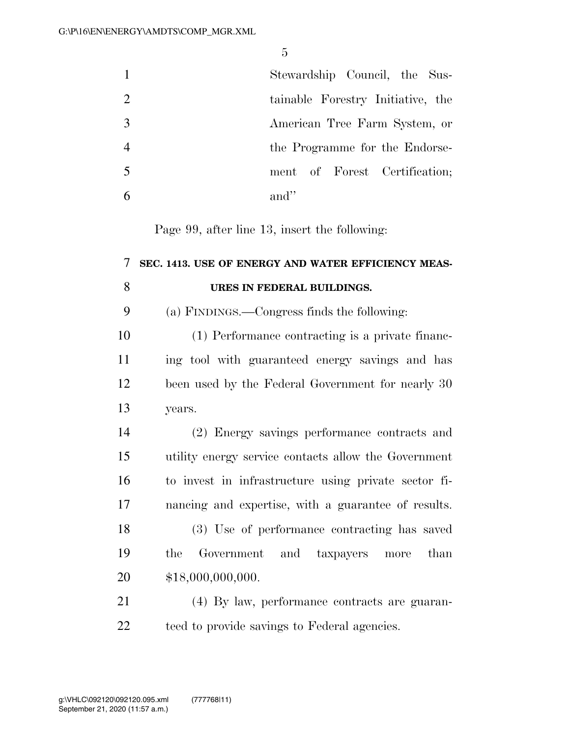|               | Stewardship Council, the Sus-     |
|---------------|-----------------------------------|
| $\mathcal{L}$ | tainable Forestry Initiative, the |
|               | American Tree Farm System, or     |
|               | the Programme for the Endorse-    |
| -5            | ment of Forest Certification;     |
|               | and"                              |

Page 99, after line 13, insert the following:

## **SEC. 1413. USE OF ENERGY AND WATER EFFICIENCY MEAS-URES IN FEDERAL BUILDINGS.** (a) FINDINGS.—Congress finds the following:

 (1) Performance contracting is a private financ- ing tool with guaranteed energy savings and has been used by the Federal Government for nearly 30 years.

 (2) Energy savings performance contracts and utility energy service contacts allow the Government to invest in infrastructure using private sector fi- nancing and expertise, with a guarantee of results. (3) Use of performance contracting has saved the Government and taxpayers more than

\$18,000,000,000.

 (4) By law, performance contracts are guaran-teed to provide savings to Federal agencies.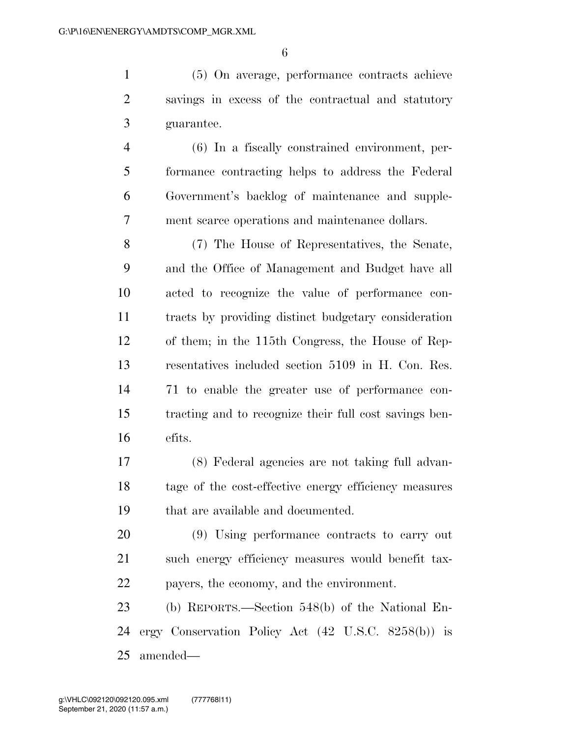(5) On average, performance contracts achieve savings in excess of the contractual and statutory guarantee.

 (6) In a fiscally constrained environment, per- formance contracting helps to address the Federal Government's backlog of maintenance and supple-ment scarce operations and maintenance dollars.

 (7) The House of Representatives, the Senate, and the Office of Management and Budget have all acted to recognize the value of performance con- tracts by providing distinct budgetary consideration of them; in the 115th Congress, the House of Rep- resentatives included section 5109 in H. Con. Res. 71 to enable the greater use of performance con- tracting and to recognize their full cost savings ben-efits.

 (8) Federal agencies are not taking full advan- tage of the cost-effective energy efficiency measures that are available and documented.

 (9) Using performance contracts to carry out such energy efficiency measures would benefit tax-payers, the economy, and the environment.

 (b) REPORTS.—Section 548(b) of the National En- ergy Conservation Policy Act (42 U.S.C. 8258(b)) is amended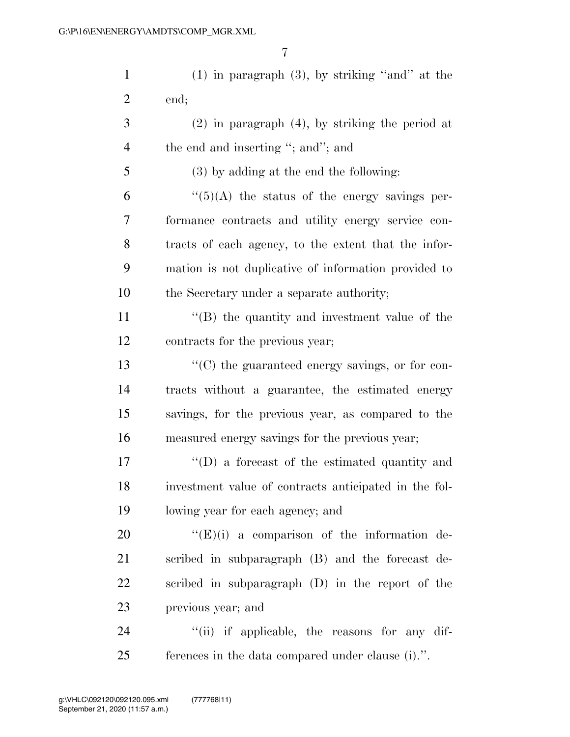1 (1) in paragraph  $(3)$ , by striking "and" at the end;

 (2) in paragraph (4), by striking the period at 4 the end and inserting "; and"; and

 (3) by adding at the end the following:  $\frac{1}{(5)}$  (A) the status of the energy savings per- formance contracts and utility energy service con- tracts of each agency, to the extent that the infor-mation is not duplicative of information provided to

the Secretary under a separate authority;

11 ''(B) the quantity and investment value of the contracts for the previous year;

 $\langle ^{\prime}(C) \rangle$  the guaranteed energy savings, or for con- tracts without a guarantee, the estimated energy savings, for the previous year, as compared to the measured energy savings for the previous year;

 ''(D) a forecast of the estimated quantity and investment value of contracts anticipated in the fol-lowing year for each agency; and

 $((E)(i)$  a comparison of the information de- scribed in subparagraph (B) and the forecast de- scribed in subparagraph (D) in the report of the previous year; and

24  $\frac{1}{2}$  (ii) if applicable, the reasons for any dif-ferences in the data compared under clause (i).''.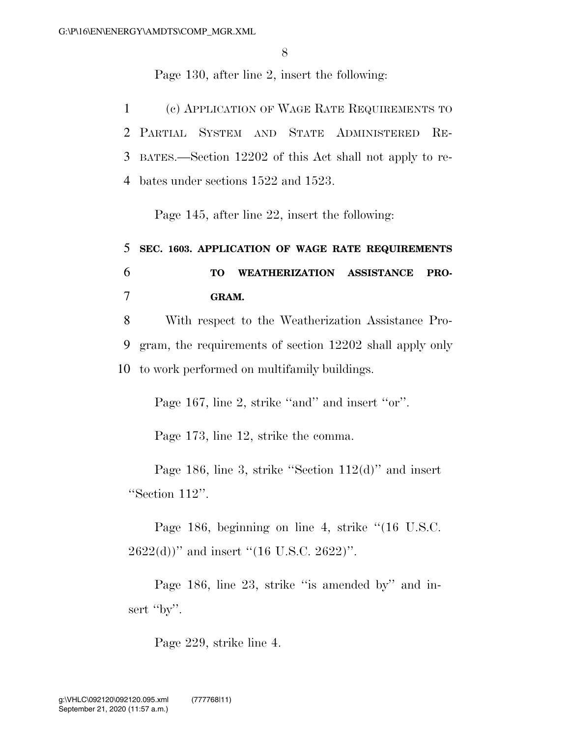Page 130, after line 2, insert the following:

 (c) APPLICATION OF WAGE RATE REQUIREMENTS TO PARTIAL SYSTEM AND STATE ADMINISTERED RE- BATES.—Section 12202 of this Act shall not apply to re-bates under sections 1522 and 1523.

Page 145, after line 22, insert the following:

# 5 **SEC. 1603. APPLICATION OF WAGE RATE REQUIREMENTS**  6 **TO WEATHERIZATION ASSISTANCE PRO-**7 **GRAM.**

8 With respect to the Weatherization Assistance Pro-9 gram, the requirements of section 12202 shall apply only 10 to work performed on multifamily buildings.

Page 167, line 2, strike "and" and insert "or".

Page 173, line 12, strike the comma.

Page 186, line 3, strike ''Section 112(d)'' and insert ''Section 112''.

Page 186, beginning on line 4, strike "(16 U.S.C.  $2622(d)$ )" and insert "(16 U.S.C. 2622)".

Page 186, line 23, strike "is amended by" and insert "by".

Page 229, strike line 4.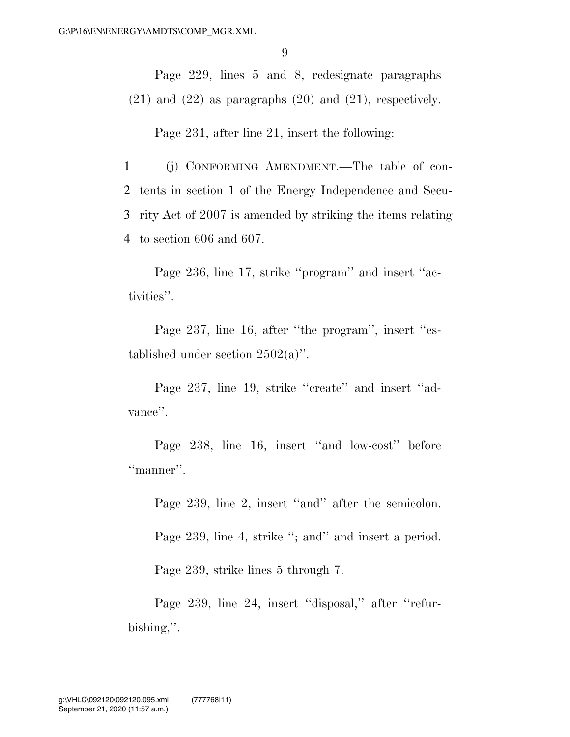Page 229, lines 5 and 8, redesignate paragraphs  $(21)$  and  $(22)$  as paragraphs  $(20)$  and  $(21)$ , respectively.

Page 231, after line 21, insert the following:

 (j) CONFORMING AMENDMENT.—The table of con- tents in section 1 of the Energy Independence and Secu- rity Act of 2007 is amended by striking the items relating to section 606 and 607.

Page 236, line 17, strike "program" and insert "activities''.

Page 237, line 16, after "the program", insert "established under section  $2502(a)$ ".

Page 237, line 19, strike "create" and insert "advance''.

Page 238, line 16, insert "and low-cost" before "manner".

Page 239, line 2, insert "and" after the semicolon.

Page 239, line 4, strike "; and" and insert a period.

Page 239, strike lines 5 through 7.

Page 239, line 24, insert "disposal," after "refurbishing,''.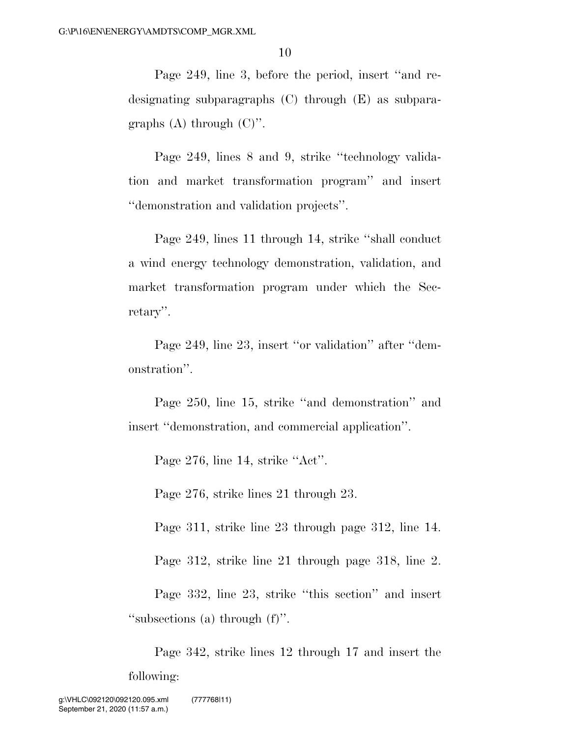Page 249, line 3, before the period, insert ''and redesignating subparagraphs (C) through (E) as subparagraphs  $(A)$  through  $(C)$ ".

Page 249, lines 8 and 9, strike ''technology validation and market transformation program'' and insert ''demonstration and validation projects''.

Page 249, lines 11 through 14, strike ''shall conduct a wind energy technology demonstration, validation, and market transformation program under which the Secretary''.

Page 249, line 23, insert "or validation" after "demonstration''.

Page 250, line 15, strike ''and demonstration'' and insert ''demonstration, and commercial application''.

Page 276, line 14, strike "Act".

Page 276, strike lines 21 through 23.

Page 311, strike line 23 through page 312, line 14.

Page 312, strike line 21 through page 318, line 2.

Page 332, line 23, strike ''this section'' and insert ''subsections (a) through (f)''.

Page 342, strike lines 12 through 17 and insert the following: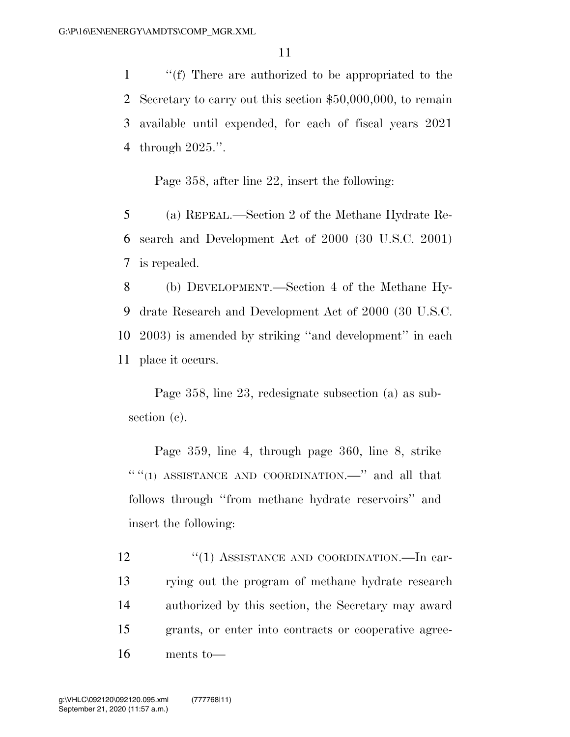''(f) There are authorized to be appropriated to the Secretary to carry out this section \$50,000,000, to remain available until expended, for each of fiscal years 2021 through 2025.''.

Page 358, after line 22, insert the following:

5 (a) REPEAL.—Section 2 of the Methane Hydrate Re-6 search and Development Act of 2000 (30 U.S.C. 2001) 7 is repealed.

 (b) DEVELOPMENT.—Section 4 of the Methane Hy- drate Research and Development Act of 2000 (30 U.S.C. 2003) is amended by striking ''and development'' in each place it occurs.

Page 358, line 23, redesignate subsection (a) as subsection (c).

Page 359, line 4, through page 360, line 8, strike  $``$ (1) ASSISTANCE AND COORDINATION.—" and all that follows through ''from methane hydrate reservoirs'' and insert the following:

12 "(1) ASSISTANCE AND COORDINATION.—In car- rying out the program of methane hydrate research authorized by this section, the Secretary may award grants, or enter into contracts or cooperative agree-ments to—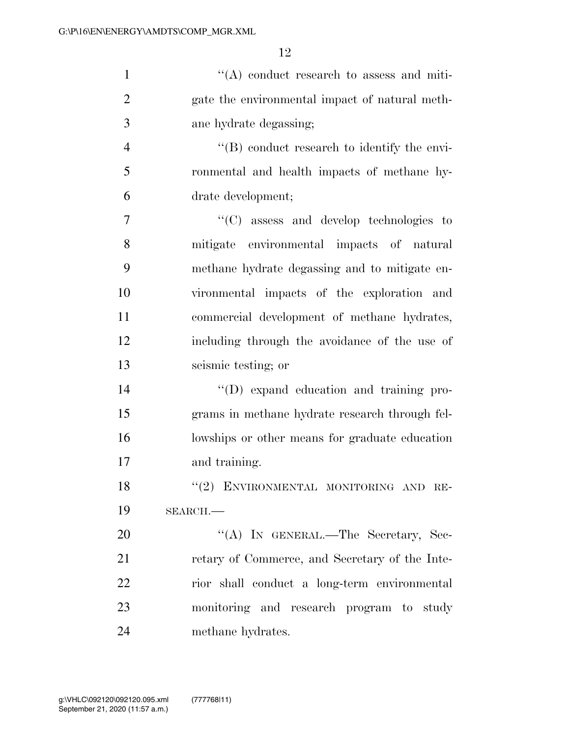| $\mathbf{1}$   | $\lq\lq$ conduct research to assess and miti-       |
|----------------|-----------------------------------------------------|
| $\overline{2}$ | gate the environmental impact of natural meth-      |
| 3              | ane hydrate degassing;                              |
| $\overline{4}$ | $\lq\lq (B)$ conduct research to identify the envi- |
| 5              | ronmental and health impacts of methane hy-         |
| 6              | drate development;                                  |
| $\overline{7}$ | "(C) assess and develop technologies to             |
| 8              | mitigate environmental impacts of natural           |
| 9              | methane hydrate degassing and to mitigate en-       |
| 10             | vironmental impacts of the exploration and          |
| 11             | commercial development of methane hydrates,         |
| 12             | including through the avoidance of the use of       |
| 13             | seismic testing; or                                 |
| 14             | "(D) expand education and training pro-             |
| 15             | grams in methane hydrate research through fel-      |
| 16             | lowships or other means for graduate education      |
| 17             | and training.                                       |
| 18             | "(2) ENVIRONMENTAL MONITORING AND RE-               |
| 19             | SEARCH.                                             |
| 20             | "(A) IN GENERAL.—The Secretary, Sec-                |
| 21             | retary of Commerce, and Secretary of the Inte-      |
| 22             | rior shall conduct a long-term environmental        |
| 23             | monitoring and research program to study            |
| 24             | methane hydrates.                                   |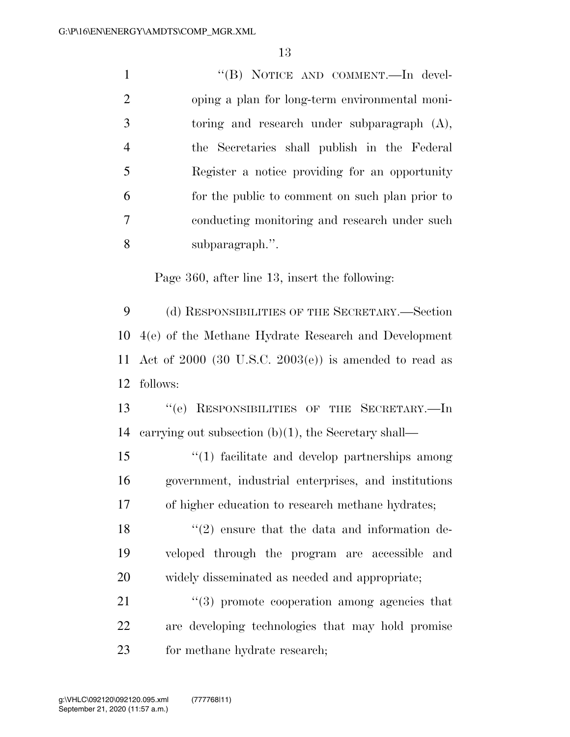1 ''(B) NOTICE AND COMMENT.—In devel- oping a plan for long-term environmental moni- toring and research under subparagraph (A), the Secretaries shall publish in the Federal Register a notice providing for an opportunity for the public to comment on such plan prior to conducting monitoring and research under such subparagraph.''.

Page 360, after line 13, insert the following:

 (d) RESPONSIBILITIES OF THE SECRETARY.—Section 4(e) of the Methane Hydrate Research and Development Act of 2000 (30 U.S.C. 2003(e)) is amended to read as follows:

 ''(e) RESPONSIBILITIES OF THE SECRETARY.—In carrying out subsection (b)(1), the Secretary shall—

 ''(1) facilitate and develop partnerships among government, industrial enterprises, and institutions of higher education to research methane hydrates;

18  $(2)$  ensure that the data and information de- veloped through the program are accessible and widely disseminated as needed and appropriate;

21 ''(3) promote cooperation among agencies that are developing technologies that may hold promise 23 for methane hydrate research;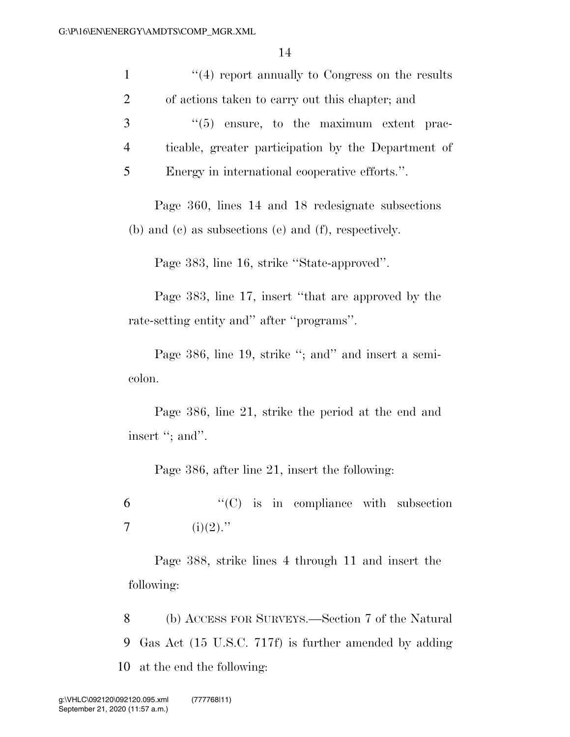| 14                                                                     |
|------------------------------------------------------------------------|
| $"$ (4) report annually to Congress on the results<br>$\mathbf{1}$     |
| $\overline{2}$<br>of actions taken to carry out this chapter; and      |
| 3<br>$\lq(5)$ ensure, to the maximum extent prac-                      |
| $\overline{4}$<br>ticable, greater participation by the Department of  |
| 5<br>Energy in international cooperative efforts.".                    |
| Page 360, lines 14 and 18 redesignate subsections                      |
| (b) and (c) as subsections (e) and (f), respectively.                  |
| Page 383, line 16, strike "State-approved".                            |
| Page 383, line 17, insert "that are approved by the                    |
| rate-setting entity and" after "programs".                             |
| Page 386, line 19, strike "; and" and insert a semi-                   |
| colon.                                                                 |
| Page 386, line 21, strike the period at the end and<br>insert "; and". |
|                                                                        |
| Page 386, after line 21, insert the following:                         |
| $\lq\lq$ (C) is in compliance with subsection<br>6                     |
| $(i)(2)$ ."<br>$\overline{7}$                                          |
| Page 388, strike lines 4 through 11 and insert the                     |
| following:                                                             |

8 (b) ACCESS FOR SURVEYS.—Section 7 of the Natural 9 Gas Act (15 U.S.C. 717f) is further amended by adding 10 at the end the following: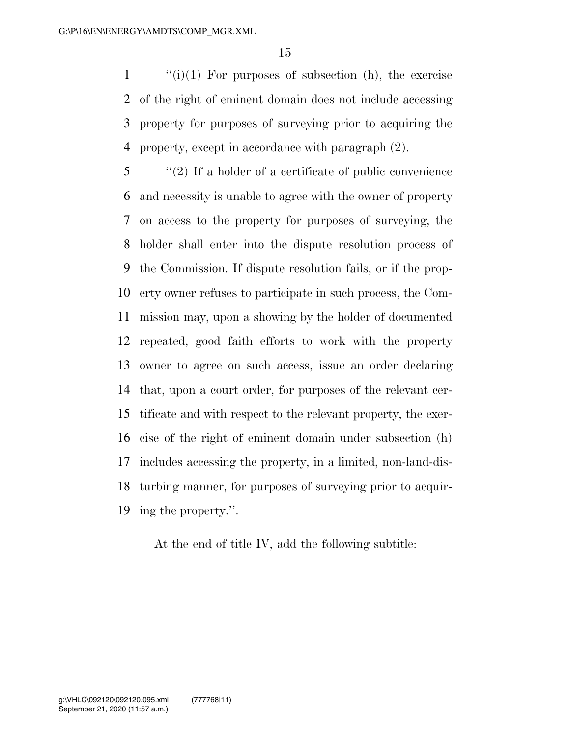''(i)(1) For purposes of subsection (h), the exercise of the right of eminent domain does not include accessing property for purposes of surveying prior to acquiring the property, except in accordance with paragraph (2).

 ''(2) If a holder of a certificate of public convenience and necessity is unable to agree with the owner of property on access to the property for purposes of surveying, the holder shall enter into the dispute resolution process of the Commission. If dispute resolution fails, or if the prop- erty owner refuses to participate in such process, the Com- mission may, upon a showing by the holder of documented repeated, good faith efforts to work with the property owner to agree on such access, issue an order declaring that, upon a court order, for purposes of the relevant cer- tificate and with respect to the relevant property, the exer- cise of the right of eminent domain under subsection (h) includes accessing the property, in a limited, non-land-dis- turbing manner, for purposes of surveying prior to acquir-ing the property.''.

At the end of title IV, add the following subtitle: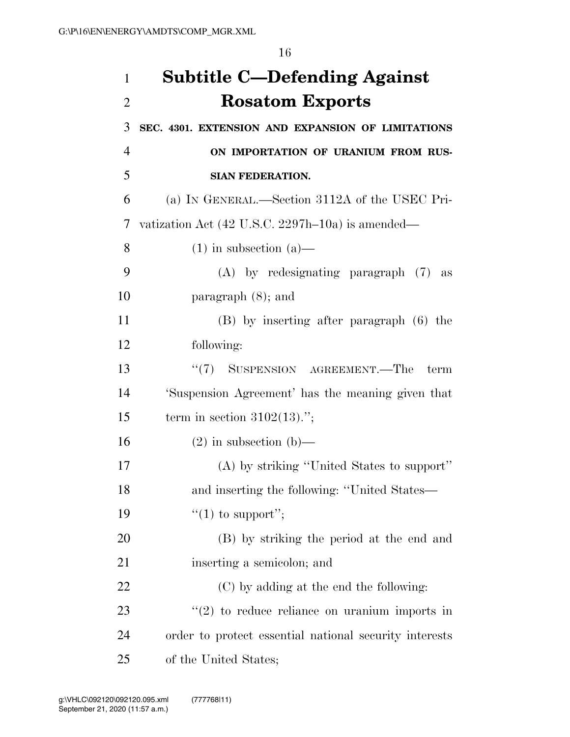| 1              | <b>Subtitle C-Defending Against</b>                         |
|----------------|-------------------------------------------------------------|
| $\overline{2}$ | <b>Rosatom Exports</b>                                      |
| 3              | SEC. 4301. EXTENSION AND EXPANSION OF LIMITATIONS           |
| 4              | ON IMPORTATION OF URANIUM FROM RUS-                         |
| 5              | <b>SIAN FEDERATION.</b>                                     |
| 6              | (a) IN GENERAL.—Section 3112A of the USEC Pri-              |
| 7              | vatization Act $(42 \text{ U.S.C. } 2297h-10a)$ is amended— |
| 8              | $(1)$ in subsection $(a)$ —                                 |
| 9              | $(A)$ by redesignating paragraph $(7)$ as                   |
| 10             | paragraph $(8)$ ; and                                       |
| 11             | $(B)$ by inserting after paragraph $(6)$ the                |
| 12             | following:                                                  |
| 13             | "(7) SUSPENSION AGREEMENT.—The<br>term                      |
| 14             | 'Suspension Agreement' has the meaning given that           |
| 15             | term in section $3102(13)$ .";                              |
| 16             | $(2)$ in subsection (b)—                                    |
| 17             | (A) by striking "United States to support"                  |
| 18             | and inserting the following: "United States—                |
| 19             | "(1) to support";                                           |
| 20             | (B) by striking the period at the end and                   |
| 21             | inserting a semicolon; and                                  |
| 22             | (C) by adding at the end the following:                     |
| 23             | $\lq(2)$ to reduce reliance on uranium imports in           |
| 24             | order to protect essential national security interests      |
| 25             | of the United States;                                       |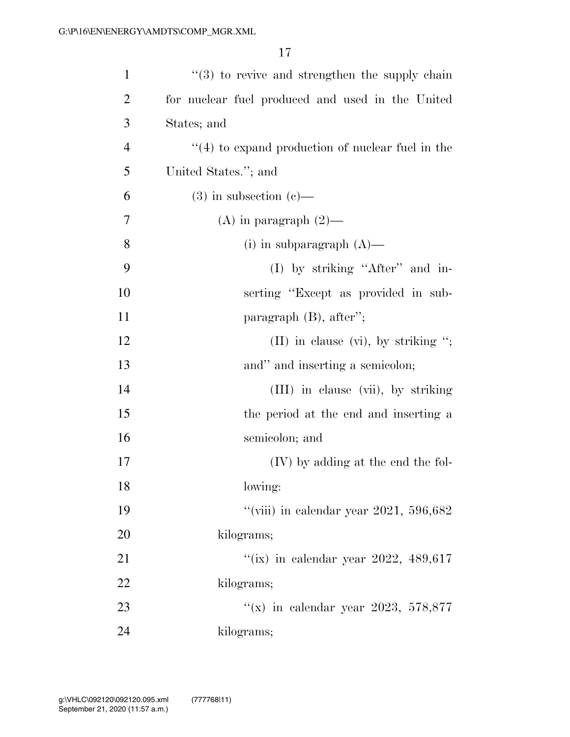| $\mathbf{1}$   | $(3)$ to revive and strengthen the supply chain   |
|----------------|---------------------------------------------------|
| $\overline{2}$ | for nuclear fuel produced and used in the United  |
| 3              | States; and                                       |
| $\overline{4}$ | $(4)$ to expand production of nuclear fuel in the |
| 5              | United States."; and                              |
| 6              | $(3)$ in subsection $(e)$ —                       |
| 7              | $(A)$ in paragraph $(2)$ —                        |
| 8              | (i) in subparagraph $(A)$ —                       |
| 9              | (I) by striking "After" and in-                   |
| 10             | serting "Except as provided in sub-               |
| 11             | paragraph $(B)$ , after";                         |
| 12             | (II) in clause (vi), by striking ";               |
| 13             | and" and inserting a semicolon;                   |
| 14             | (III) in clause (vii), by striking                |
| 15             | the period at the end and inserting a             |
| 16             | semicolon; and                                    |
| 17             | (IV) by adding at the end the fol-                |
| 18             | lowing:                                           |
| 19             | "(viii) in calendar year 2021, 596,682            |
| 20             | kilograms;                                        |
| 21             | "(ix) in calendar year 2022, 489,617              |
| 22             | kilograms;                                        |
| 23             | "(x) in calendar year 2023, 578,877               |
| 24             | kilograms;                                        |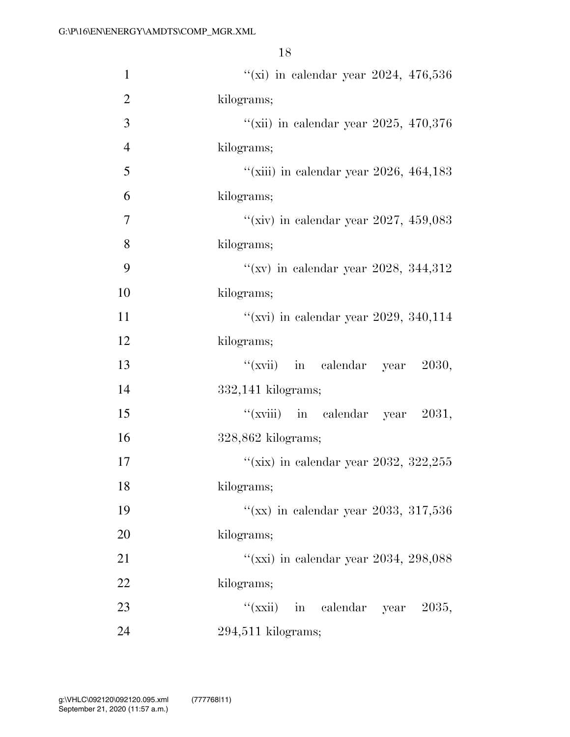| $\mathbf{1}$   | "(xi) in calendar year 2024, $476,536$  |
|----------------|-----------------------------------------|
| $\overline{2}$ | kilograms;                              |
| 3              | "(xii) in calendar year 2025, 470,376   |
| $\overline{4}$ | kilograms;                              |
| 5              | "(xiii) in calendar year 2026, 464, 183 |
| 6              | kilograms;                              |
| 7              | "(xiv) in calendar year 2027, 459,083   |
| 8              | kilograms;                              |
| 9              | "(xv) in calendar year 2028, 344,312    |
| 10             | kilograms;                              |
| 11             | "(xvi) in calendar year 2029, 340,114   |
| 12             | kilograms;                              |
| 13             | ``(xvi)<br>in calendar year 2030,       |
| 14             | $332,141$ kilograms;                    |
| 15             | "(xviii) in calendar year $2031$ ,      |
| 16             | $328,862$ kilograms;                    |
| 17             | "(xix) in calendar year 2032, 322,255   |
| 18             | kilograms;                              |
| 19             | "(xx) in calendar year 2033, 317,536    |
| 20             | kilograms;                              |
| 21             | "(xxi) in calendar year 2034, 298,088   |
| 22             | kilograms;                              |
| 23             | ``(xxii)<br>in calendar year 2035,      |
| 24             | $294,511$ kilograms;                    |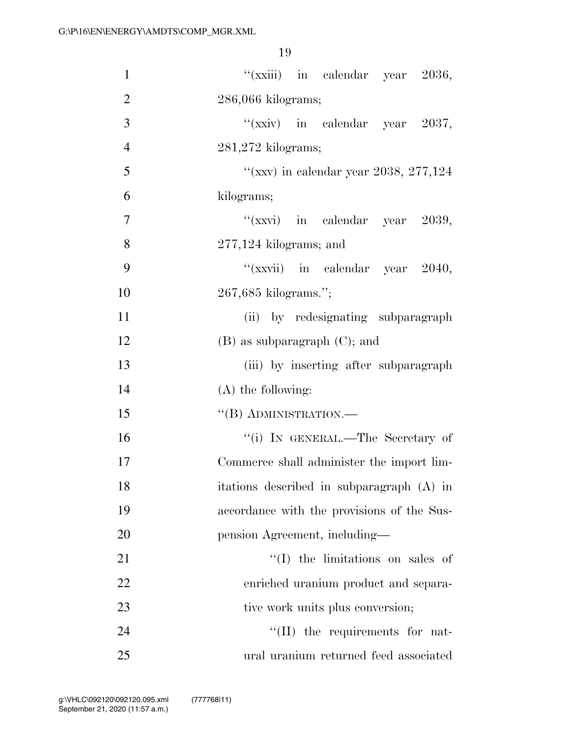| $\mathbf{1}$   | "( $\chi$ xiii) in calendar year 2036,     |
|----------------|--------------------------------------------|
| $\overline{2}$ | $286,066$ kilograms;                       |
| 3              | "(xxiv) in calendar year $2037$ ,          |
| $\overline{4}$ | $281,272$ kilograms;                       |
| 5              | "(xxv) in calendar year 2038, 277,124      |
| 6              | kilograms;                                 |
| 7              | " $(xxyi)$ in calendar year 2039,          |
| 8              | $277,124$ kilograms; and                   |
| 9              | "(xxvii) in calendar year 2040,            |
| 10             | 267,685 kilograms.";                       |
| 11             | (ii) by redesignating subparagraph         |
| 12             | $(B)$ as subparagraph $(C)$ ; and          |
| 13             | (iii) by inserting after subparagraph      |
| 14             | $(A)$ the following:                       |
| 15             | $``$ (B) ADMINISTRATION.—                  |
| 16             | "(i) IN GENERAL.—The Secretary of          |
| 17             | Commerce shall administer the import lim-  |
| 18             | itations described in subparagraph (A) in  |
| 19             | accordance with the provisions of the Sus- |
| 20             | pension Agreement, including—              |
| 21             | $\lq\lq$ (I) the limitations on sales of   |
| 22             | enriched uranium product and separa-       |
| 23             | tive work units plus conversion;           |
| 24             | $\lq\lq$ (II) the requirements for nat-    |
| 25             | ural uranium returned feed associated      |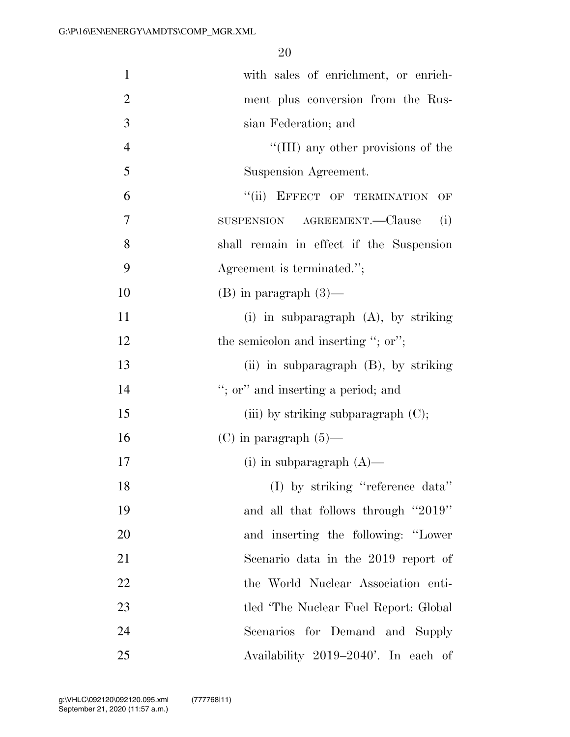| $\mathbf{1}$   | with sales of enrichment, or enrich-       |
|----------------|--------------------------------------------|
| $\overline{2}$ | ment plus conversion from the Rus-         |
| 3              | sian Federation; and                       |
| $\overline{4}$ | "(III) any other provisions of the         |
| 5              | Suspension Agreement.                      |
| 6              | "(ii) EFFECT OF TERMINATION<br>OF          |
| 7              | SUSPENSION AGREEMENT.—Clause<br>(i)        |
| 8              | shall remain in effect if the Suspension   |
| 9              | Agreement is terminated.";                 |
| 10             | $(B)$ in paragraph $(3)$ —                 |
| 11             | (i) in subparagraph $(A)$ , by striking    |
| 12             | the semicolon and inserting "; or";        |
| 13             | $(ii)$ in subparagraph $(B)$ , by striking |
| 14             | "; or" and inserting a period; and         |
| 15             | (iii) by striking subparagraph $(C)$ ;     |
| 16             | $(C)$ in paragraph $(5)$ —                 |
| 17             | (i) in subparagraph $(A)$ —                |
| 18             | (I) by striking "reference data"           |
| 19             | and all that follows through "2019"        |
| 20             | and inserting the following: "Lower        |
| 21             | Scenario data in the 2019 report of        |
| 22             | the World Nuclear Association enti-        |
| 23             | tled 'The Nuclear Fuel Report: Global      |
| 24             | Scenarios for Demand and Supply            |
| 25             | Availability 2019–2040'. In each of        |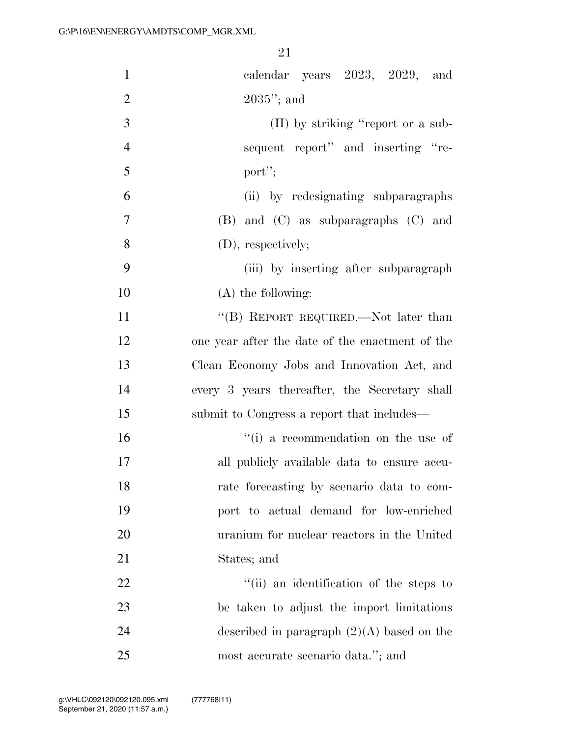| $\mathbf{1}$   | calendar years 2023, 2029, and                  |
|----------------|-------------------------------------------------|
| $\overline{2}$ | $2035$ "; and                                   |
| 3              | (II) by striking "report or a sub-              |
| $\overline{4}$ | sequent report" and inserting "re-              |
| 5              | port";                                          |
| 6              | (ii) by redesignating subparagraphs             |
| $\overline{7}$ | $(B)$ and $(C)$ as subparagraphs $(C)$ and      |
| 8              | (D), respectively;                              |
| 9              | (iii) by inserting after subparagraph           |
| 10             | $(A)$ the following:                            |
| 11             | "(B) REPORT REQUIRED.—Not later than            |
| 12             | one year after the date of the enactment of the |
| 13             | Clean Economy Jobs and Innovation Act, and      |
| 14             | every 3 years thereafter, the Secretary shall   |
| 15             | submit to Congress a report that includes—      |
| 16             | "(i) a recommendation on the use of             |
| 17             | all publicly available data to ensure accu-     |
| 18             | rate forecasting by scenario data to com-       |
| 19             | port to actual demand for low-enriched          |
| 20             | uranium for nuclear reactors in the United      |
| 21             | States; and                                     |
| 22             | "(ii) an identification of the steps to         |
| 23             | be taken to adjust the import limitations       |
| 24             | described in paragraph $(2)(A)$ based on the    |
| 25             | most accurate scenario data."; and              |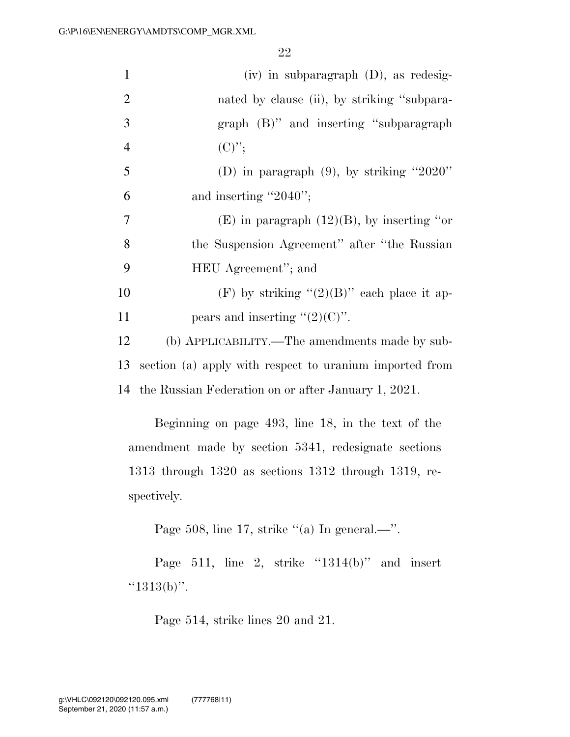| $\mathbf{1}$   | $(iv)$ in subparagraph $(D)$ , as redesig-              |
|----------------|---------------------------------------------------------|
| $\overline{2}$ | nated by clause (ii), by striking "subpara-             |
| 3              | graph (B)" and inserting "subparagraph"                 |
| $\overline{4}$ | $(C)$ ";                                                |
| 5              | (D) in paragraph $(9)$ , by striking "2020"             |
| 6              | and inserting " $2040$ ";                               |
| 7              | $(E)$ in paragraph $(12)(B)$ , by inserting "or         |
| 8              | the Suspension Agreement" after "the Russian            |
| 9              | HEU Agreement"; and                                     |
| 10             | (F) by striking " $(2)(B)$ " each place it ap-          |
| 11             | pears and inserting " $(2)(C)$ ".                       |
| 12             | (b) APPLICABILITY.—The amendments made by sub-          |
| 13             | section (a) apply with respect to uranium imported from |
|                | 14 the Russian Federation on or after January 1, 2021.  |

Beginning on page 493, line 18, in the text of the amendment made by section 5341, redesignate sections 1313 through 1320 as sections 1312 through 1319, respectively.

Page 508, line 17, strike "(a) In general.—".

Page 511, line 2, strike "1314(b)" and insert "1313(b)".

Page 514, strike lines 20 and 21.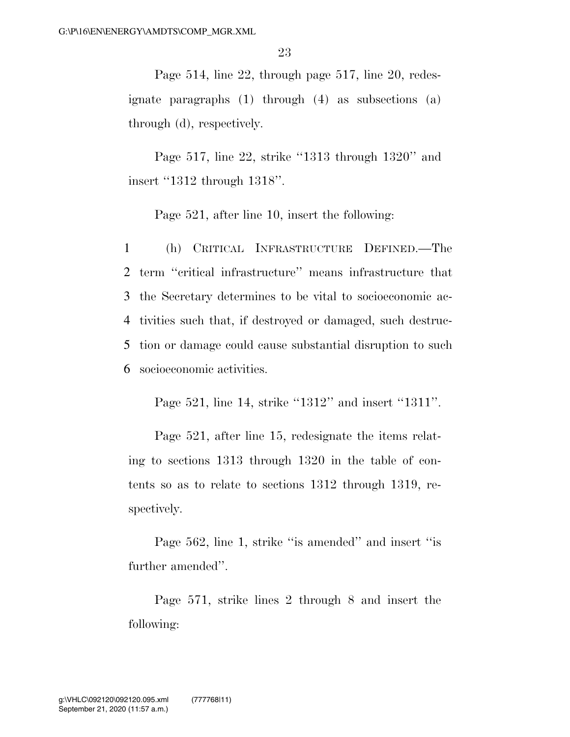Page 514, line 22, through page 517, line 20, redesignate paragraphs (1) through (4) as subsections (a) through (d), respectively.

Page 517, line 22, strike ''1313 through 1320'' and insert ''1312 through 1318''.

Page 521, after line 10, insert the following:

 (h) CRITICAL INFRASTRUCTURE DEFINED.—The term ''critical infrastructure'' means infrastructure that the Secretary determines to be vital to socioeconomic ac- tivities such that, if destroyed or damaged, such destruc- tion or damage could cause substantial disruption to such socioeconomic activities.

Page 521, line 14, strike "1312" and insert "1311".

Page 521, after line 15, redesignate the items relating to sections 1313 through 1320 in the table of contents so as to relate to sections 1312 through 1319, respectively.

Page 562, line 1, strike ''is amended'' and insert ''is further amended''.

Page 571, strike lines 2 through 8 and insert the following: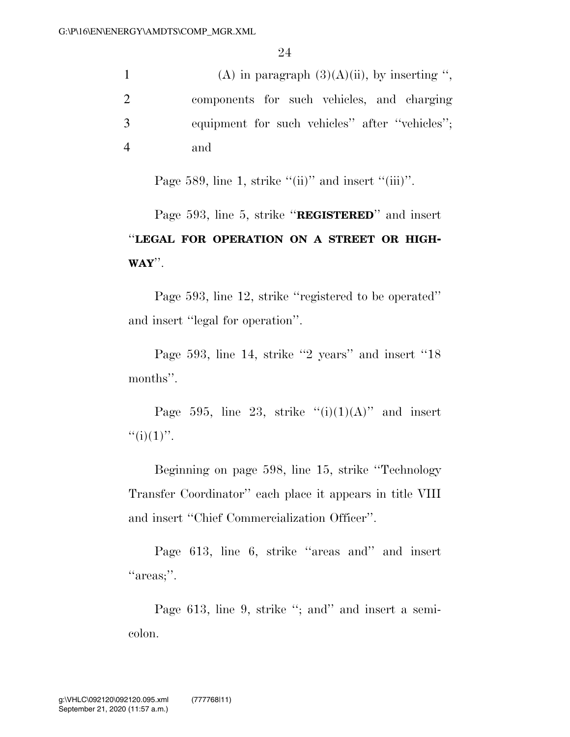|    | (A) in paragraph $(3)(A)(ii)$ , by inserting ", |
|----|-------------------------------------------------|
|    | components for such vehicles, and charging      |
| -3 | equipment for such vehicles" after "vehicles";  |
|    | and                                             |

Page 589, line 1, strike " $(ii)$ " and insert " $(iii)$ ".

Page 593, line 5, strike ''**REGISTERED**'' and insert ''**LEGAL FOR OPERATION ON A STREET OR HIGH-WAY**''.

Page 593, line 12, strike ''registered to be operated'' and insert ''legal for operation''.

Page 593, line 14, strike ''2 years'' and insert ''18 months''.

Page 595, line 23, strike  $(ii)(1)(A)$ " and insert  $``(i)(1)"$ .

Beginning on page 598, line 15, strike ''Technology Transfer Coordinator'' each place it appears in title VIII and insert ''Chief Commercialization Officer''.

Page 613, line 6, strike ''areas and'' and insert "areas;".

Page 613, line 9, strike "; and" and insert a semicolon.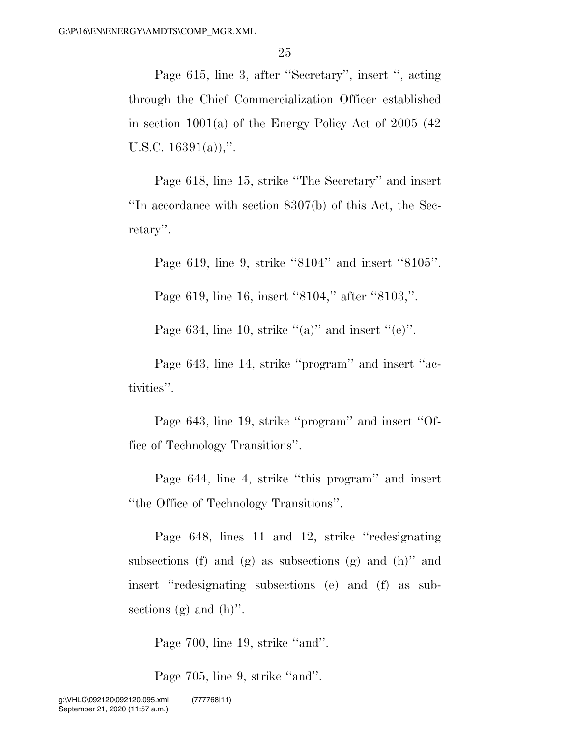Page 615, line 3, after ''Secretary'', insert '', acting through the Chief Commercialization Officer established in section 1001(a) of the Energy Policy Act of 2005 (42 U.S.C.  $16391(a)$ ,".

Page 618, line 15, strike ''The Secretary'' and insert ''In accordance with section 8307(b) of this Act, the Secretary''.

Page 619, line 9, strike ''8104'' and insert ''8105''.

Page 619, line 16, insert "8104," after "8103,".

Page 634, line 10, strike " $(a)$ " and insert " $(e)$ ".

Page 643, line 14, strike ''program'' and insert ''activities''.

Page 643, line 19, strike ''program'' and insert ''Office of Technology Transitions''.

Page 644, line 4, strike ''this program'' and insert ''the Office of Technology Transitions''.

Page 648, lines 11 and 12, strike ''redesignating subsections (f) and  $(g)$  as subsections  $(g)$  and  $(h)$ " and insert ''redesignating subsections (e) and (f) as subsections  $(g)$  and  $(h)$ ".

Page 700, line 19, strike "and".

Page 705, line 9, strike "and".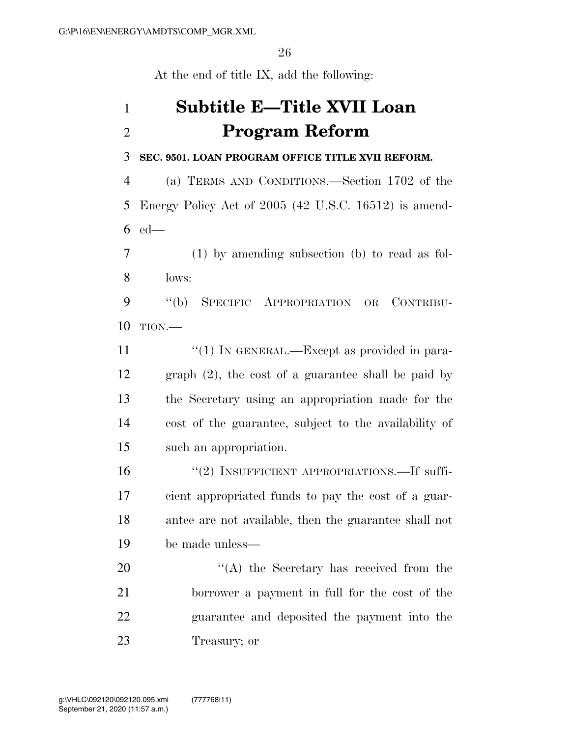At the end of title IX, add the following:

# **Subtitle E—Title XVII Loan Program Reform**

#### **SEC. 9501. LOAN PROGRAM OFFICE TITLE XVII REFORM.**

 (a) TERMS AND CONDITIONS.—Section 1702 of the Energy Policy Act of 2005 (42 U.S.C. 16512) is amend-ed—

 (1) by amending subsection (b) to read as fol-lows:

 ''(b) SPECIFIC APPROPRIATION OR CONTRIBU-TION.—

 $\frac{1}{1}$  In GENERAL.—Except as provided in para- graph (2), the cost of a guarantee shall be paid by the Secretary using an appropriation made for the cost of the guarantee, subject to the availability of such an appropriation.

 $(2)$  INSUFFICIENT APPROPRIATIONS.—If suffi- cient appropriated funds to pay the cost of a guar- antee are not available, then the guarantee shall not be made unless—

20 "'(A) the Secretary has received from the borrower a payment in full for the cost of the guarantee and deposited the payment into the Treasury; or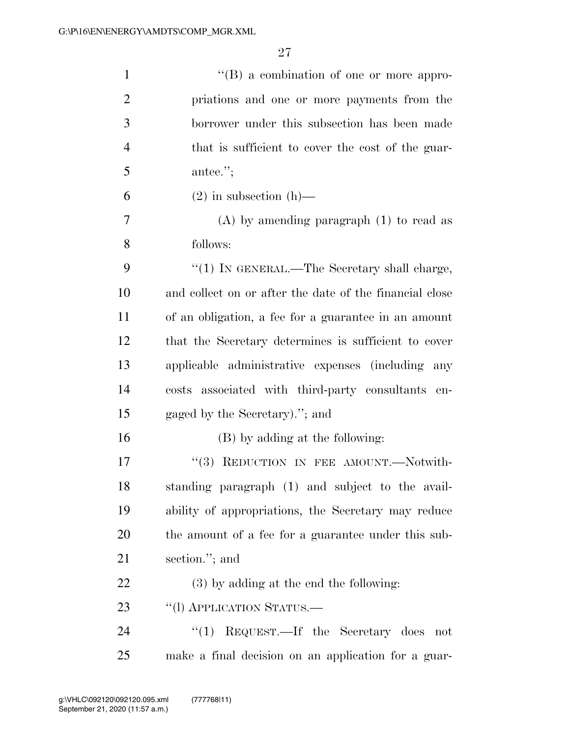| $\mathbf{1}$   | $\lq\lq (B)$ a combination of one or more appro-        |
|----------------|---------------------------------------------------------|
| $\overline{2}$ | priations and one or more payments from the             |
| 3              | borrower under this subsection has been made            |
| $\overline{4}$ | that is sufficient to cover the cost of the guar-       |
| 5              | antee.";                                                |
| 6              | $(2)$ in subsection $(h)$ —                             |
| 7              | $(A)$ by amending paragraph $(1)$ to read as            |
| 8              | follows:                                                |
| 9              | "(1) IN GENERAL.—The Secretary shall charge,            |
| 10             | and collect on or after the date of the financial close |
| 11             | of an obligation, a fee for a guarantee in an amount    |
| 12             | that the Secretary determines is sufficient to cover    |
| 13             | applicable administrative expenses (including<br>any    |
| 14             | costs associated with third-party consultants<br>en-    |
| 15             | gaged by the Secretary)."; and                          |
| 16             | (B) by adding at the following:                         |
| 17             | "(3) REDUCTION IN FEE AMOUNT.—Notwith-                  |
| 18             | standing paragraph (1) and subject to the avail-        |
| 19             | ability of appropriations, the Secretary may reduce     |
| 20             | the amount of a fee for a guarantee under this sub-     |
| 21             | section."; and                                          |
| 22             | (3) by adding at the end the following:                 |
| 23             | "(1) APPLICATION STATUS.—                               |
| 24             | "(1) REQUEST.—If the Secretary does<br>not              |
| 25             | make a final decision on an application for a guar-     |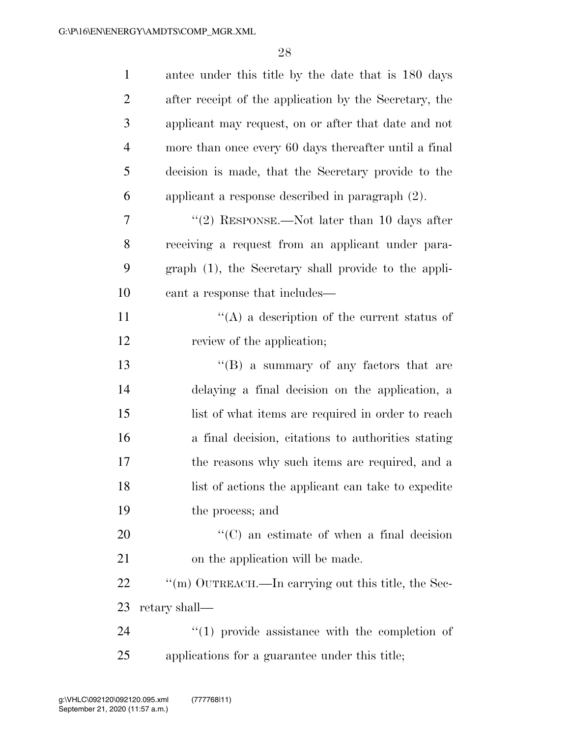| $\mathbf{1}$   | antee under this title by the date that is 180 days    |
|----------------|--------------------------------------------------------|
| $\overline{2}$ | after receipt of the application by the Secretary, the |
| 3              | applicant may request, on or after that date and not   |
| $\overline{4}$ | more than once every 60 days thereafter until a final  |
| 5              | decision is made, that the Secretary provide to the    |
| 6              | applicant a response described in paragraph (2).       |
| 7              | "(2) RESPONSE.—Not later than 10 days after            |
| 8              | receiving a request from an applicant under para-      |
| 9              | graph (1), the Secretary shall provide to the appli-   |
| 10             | cant a response that includes—                         |
| 11             | $\lq\lq$ a description of the current status of        |
| 12             | review of the application;                             |
| 13             | $\lq\lq (B)$ a summary of any factors that are         |
| 14             | delaying a final decision on the application, a        |
| 15             | list of what items are required in order to reach      |
| 16             | a final decision, citations to authorities stating     |
| 17             | the reasons why such items are required, and a         |
| 18             | list of actions the applicant can take to expedite     |
| 19             | the process; and                                       |
| 20             | $\lq\lq$ (C) an estimate of when a final decision      |
| 21             | on the application will be made.                       |
| 22             | "(m) OUTREACH.—In carrying out this title, the Sec-    |
| 23             | retary shall—                                          |
| 24             | $\lq(1)$ provide assistance with the completion of     |
| 25             | applications for a guarantee under this title;         |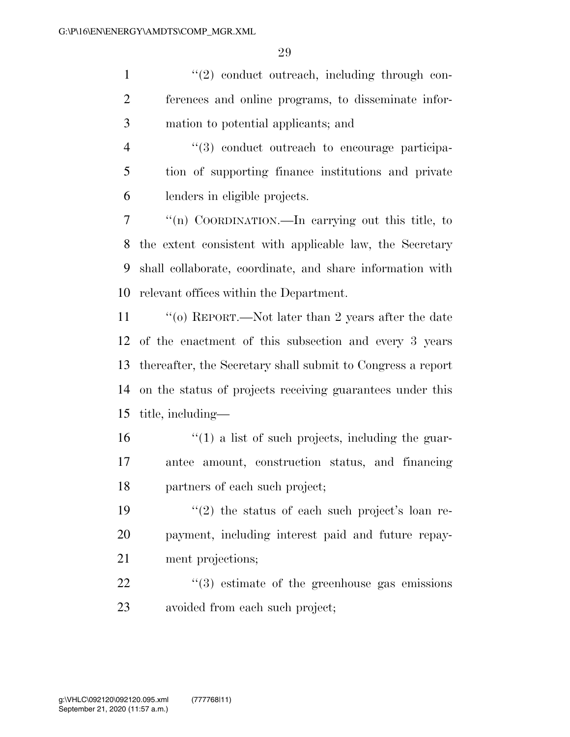1 ''(2) conduct outreach, including through con- ferences and online programs, to disseminate infor-mation to potential applicants; and

4  $(3)$  conduct outreach to encourage participa- tion of supporting finance institutions and private lenders in eligible projects.

 ''(n) COORDINATION.—In carrying out this title, to the extent consistent with applicable law, the Secretary shall collaborate, coordinate, and share information with relevant offices within the Department.

 ''(o) REPORT.—Not later than 2 years after the date of the enactment of this subsection and every 3 years thereafter, the Secretary shall submit to Congress a report on the status of projects receiving guarantees under this title, including—

 $\frac{16}{10}$  <sup>''</sup>(1) a list of such projects, including the guar- antee amount, construction status, and financing partners of each such project;

19  $(2)$  the status of each such project's loan re- payment, including interest paid and future repay-ment projections;

  $(3)$  estimate of the greenhouse gas emissions avoided from each such project;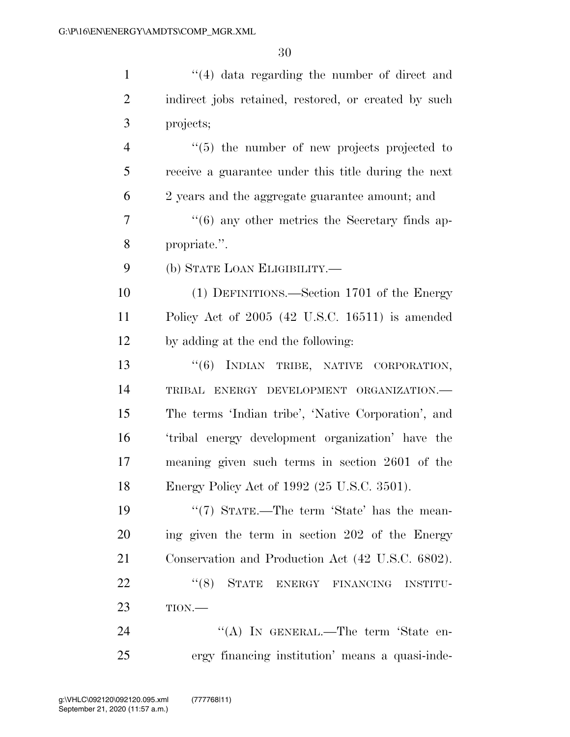1 ''(4) data regarding the number of direct and 2 indirect jobs retained, restored, or created by such projects; ''(5) the number of new projects projected to receive a guarantee under this title during the next 2 years and the aggregate guarantee amount; and ''(6) any other metrics the Secretary finds ap- propriate.''. (b) STATE LOAN ELIGIBILITY.— (1) DEFINITIONS.—Section 1701 of the Energy Policy Act of 2005 (42 U.S.C. 16511) is amended by adding at the end the following: 13 "(6) INDIAN TRIBE, NATIVE CORPORATION, TRIBAL ENERGY DEVELOPMENT ORGANIZATION.— The terms 'Indian tribe', 'Native Corporation', and 'tribal energy development organization' have the meaning given such terms in section 2601 of the Energy Policy Act of 1992 (25 U.S.C. 3501). 19 ''(7) STATE.—The term 'State' has the mean- ing given the term in section 202 of the Energy Conservation and Production Act (42 U.S.C. 6802).

22 "(8) STATE ENERGY FINANCING INSTITU-TION.—

24 "(A) In GENERAL.—The term 'State en-ergy financing institution' means a quasi-inde-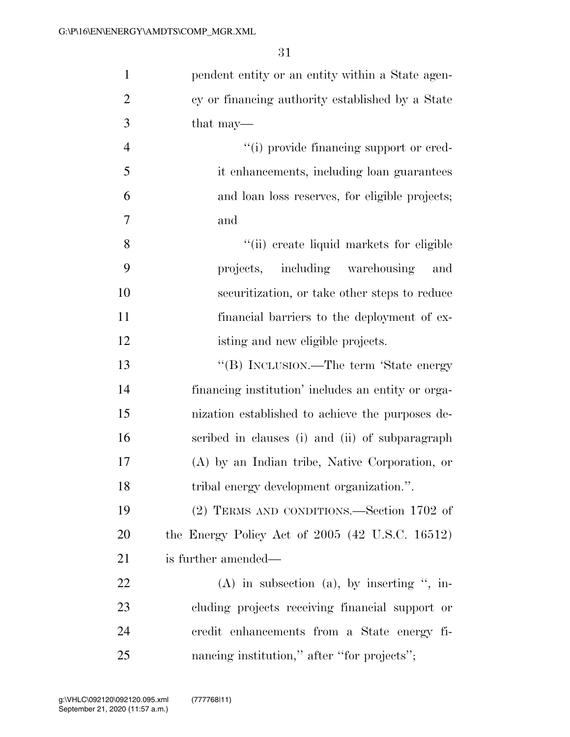| $\mathbf{1}$   | pendent entity or an entity within a State agen-             |
|----------------|--------------------------------------------------------------|
| $\overline{2}$ | cy or financing authority established by a State             |
| 3              | that may—                                                    |
| $\overline{4}$ | "(i) provide financing support or cred-                      |
| 5              | it enhancements, including loan guarantees                   |
| 6              | and loan loss reserves, for eligible projects;               |
| 7              | and                                                          |
| 8              | "(ii) create liquid markets for eligible                     |
| 9              | projects, including warehousing<br>and                       |
| 10             | securitization, or take other steps to reduce                |
| 11             | financial barriers to the deployment of ex-                  |
| 12             | isting and new eligible projects.                            |
| 13             | "(B) INCLUSION.—The term 'State energy                       |
| 14             | financing institution' includes an entity or orga-           |
| 15             | nization established to achieve the purposes de-             |
| 16             | scribed in clauses (i) and (ii) of subparagraph              |
| 17             | (A) by an Indian tribe, Native Corporation, or               |
| 18             | tribal energy development organization.".                    |
| 19             | (2) TERMS AND CONDITIONS.—Section 1702 of                    |
| 20             | the Energy Policy Act of $2005$ $(42 \text{ U.S.C. } 16512)$ |
| 21             | is further amended—                                          |
| 22             | $(A)$ in subsection $(a)$ , by inserting ", in-              |
| 23             | cluding projects receiving financial support or              |
| 24             | credit enhancements from a State energy fi-                  |
| 25             | nancing institution," after "for projects";                  |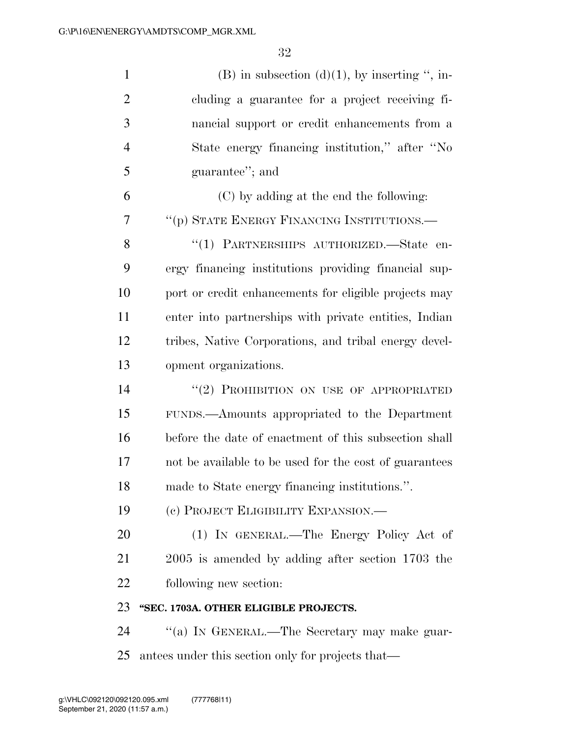| $\mathbf{1}$   | $(B)$ in subsection $(d)(1)$ , by inserting ", in-     |
|----------------|--------------------------------------------------------|
| $\overline{2}$ | cluding a guarantee for a project receiving fi-        |
| 3              | nancial support or credit enhancements from a          |
| $\overline{4}$ | State energy financing institution," after "No         |
| 5              | guarantee"; and                                        |
| 6              | (C) by adding at the end the following:                |
| 7              | "(p) STATE ENERGY FINANCING INSTITUTIONS.-             |
| 8              | "(1) PARTNERSHIPS AUTHORIZED.—State en-                |
| 9              | ergy financing institutions providing financial sup-   |
| 10             | port or credit enhancements for eligible projects may  |
| 11             | enter into partnerships with private entities, Indian  |
| 12             | tribes, Native Corporations, and tribal energy devel-  |
| 13             | opment organizations.                                  |
| 14             | "(2) PROHIBITION ON USE OF APPROPRIATED                |
| 15             | FUNDS.—Amounts appropriated to the Department          |
| 16             | before the date of enactment of this subsection shall  |
| 17             | not be available to be used for the cost of guarantees |
| 18             | made to State energy financing institutions.".         |
| 19             | (c) PROJECT ELIGIBILITY EXPANSION.—                    |
| 20             | (1) IN GENERAL.—The Energy Policy Act of               |
| 21             | $2005$ is amended by adding after section 1703 the     |
| 22             | following new section:                                 |
| 23             | "SEC. 1703A. OTHER ELIGIBLE PROJECTS.                  |
| 24             | "(a) IN GENERAL.—The Secretary may make guar-          |
| 25             | antees under this section only for projects that—      |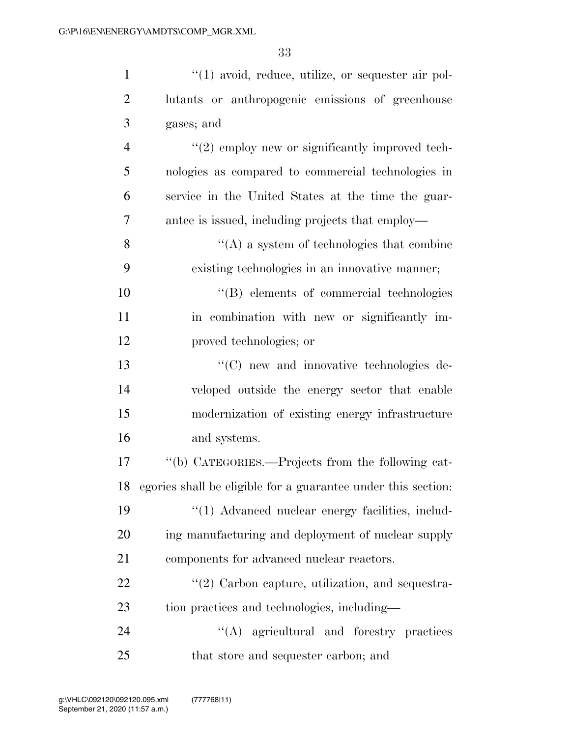| $\mathbf{1}$   | $\lq(1)$ avoid, reduce, utilize, or sequester air pol-        |
|----------------|---------------------------------------------------------------|
| $\overline{2}$ | lutants or anthropogenic emissions of greenhouse              |
| 3              | gases; and                                                    |
| $\overline{4}$ | $"(2)$ employ new or significantly improved tech-             |
| 5              | nologies as compared to commercial technologies in            |
| 6              | service in the United States at the time the guar-            |
| 7              | antee is issued, including projects that employ—              |
| 8              | $\lq\lq$ a system of technologies that combine                |
| 9              | existing technologies in an innovative manner;                |
| 10             | "(B) elements of commercial technologies                      |
| 11             | in combination with new or significantly im-                  |
| 12             | proved technologies; or                                       |
| 13             | "(C) new and innovative technologies de-                      |
| 14             | veloped outside the energy sector that enable                 |
| 15             | modernization of existing energy infrastructure               |
| 16             | and systems.                                                  |
| 17             | "(b) CATEGORIES.—Projects from the following cat-             |
| 18             | egories shall be eligible for a guarantee under this section: |
| 19             | "(1) Advanced nuclear energy facilities, includ-              |
| <b>20</b>      | ing manufacturing and deployment of nuclear supply            |
| 21             | components for advanced nuclear reactors.                     |
| 22             | $\lq(2)$ Carbon capture, utilization, and sequestra-          |
| 23             | tion practices and technologies, including—                   |
| 24             | "(A) agricultural and forestry practices                      |
| 25             | that store and sequester carbon; and                          |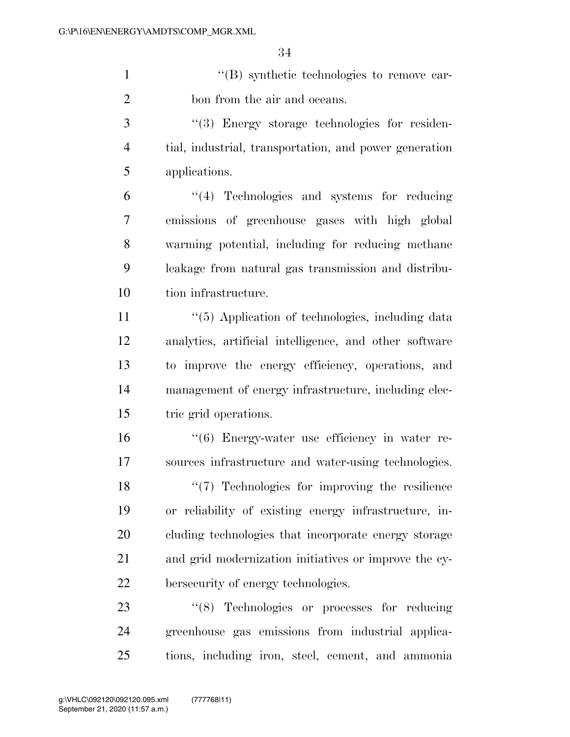''(B) synthetic technologies to remove car-bon from the air and oceans.

3 "(3) Energy storage technologies for residen- tial, industrial, transportation, and power generation applications.

 ''(4) Technologies and systems for reducing emissions of greenhouse gases with high global warming potential, including for reducing methane leakage from natural gas transmission and distribu-tion infrastructure.

11 ''(5) Application of technologies, including data analytics, artificial intelligence, and other software to improve the energy efficiency, operations, and management of energy infrastructure, including elec-tric grid operations.

 ''(6) Energy-water use efficiency in water re- sources infrastructure and water-using technologies. 18 ''(7) Technologies for improving the resilience or reliability of existing energy infrastructure, in- cluding technologies that incorporate energy storage and grid modernization initiatives or improve the cy-bersecurity of energy technologies.

23 "(8) Technologies or processes for reducing greenhouse gas emissions from industrial applica-tions, including iron, steel, cement, and ammonia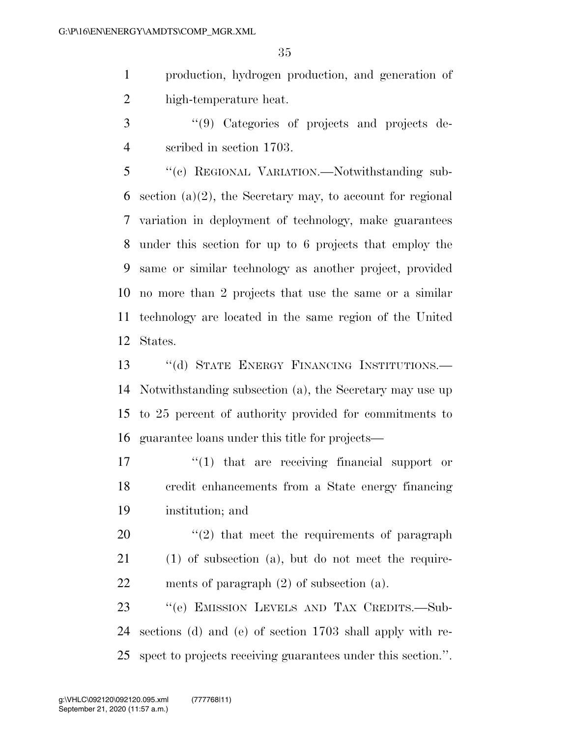production, hydrogen production, and generation of high-temperature heat.

 ''(9) Categories of projects and projects de-scribed in section 1703.

 ''(c) REGIONAL VARIATION.—Notwithstanding sub- section (a)(2), the Secretary may, to account for regional variation in deployment of technology, make guarantees under this section for up to 6 projects that employ the same or similar technology as another project, provided no more than 2 projects that use the same or a similar technology are located in the same region of the United States.

13 "(d) STATE ENERGY FINANCING INSTITUTIONS. Notwithstanding subsection (a), the Secretary may use up to 25 percent of authority provided for commitments to guarantee loans under this title for projects—

17  $\frac{1}{2}$   $\frac{1}{2}$  that are receiving financial support or credit enhancements from a State energy financing institution; and

20  $\frac{1}{2}$  that meet the requirements of paragraph (1) of subsection (a), but do not meet the require-ments of paragraph (2) of subsection (a).

 ''(e) EMISSION LEVELS AND TAX CREDITS.—Sub- sections (d) and (e) of section 1703 shall apply with re-spect to projects receiving guarantees under this section.''.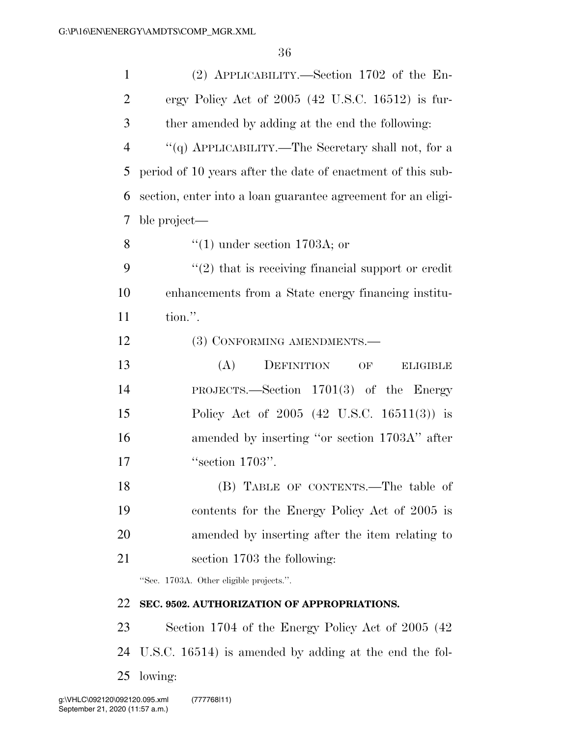| $\mathbf{1}$   | (2) APPLICABILITY.—Section 1702 of the En-                         |
|----------------|--------------------------------------------------------------------|
| $\overline{2}$ | ergy Policy Act of $2005$ (42 U.S.C. 16512) is fur-                |
| 3              | ther amended by adding at the end the following:                   |
| $\overline{4}$ | "(q) APPLICABILITY.—The Secretary shall not, for a                 |
| 5              | period of 10 years after the date of enactment of this sub-        |
| 6              | section, enter into a loan guarantee agreement for an eligi-       |
| 7              | ble project—                                                       |
| 8              | $\cdot$ (1) under section 1703A; or                                |
| 9              | $\cdot\cdot\cdot(2)$ that is receiving financial support or credit |
| 10             | enhancements from a State energy financing institu-                |
| 11             | tion.".                                                            |
| 12             | (3) CONFORMING AMENDMENTS.-                                        |
| 13             | (A)<br>DEFINITION<br>OF<br><b>ELIGIBLE</b>                         |
| 14             | PROJECTS.—Section $1701(3)$ of the Energy                          |
| 15             | Policy Act of 2005 (42 U.S.C. 16511(3)) is                         |
| 16             | amended by inserting "or section 1703A" after                      |
| 17             | "section 1703".                                                    |
| 18             | (B) TABLE OF CONTENTS.—The table of                                |
| 19             | contents for the Energy Policy Act of 2005 is                      |
| 20             | amended by inserting after the item relating to                    |
| 21             | section 1703 the following:                                        |
|                | "Sec. 1703A. Other eligible projects.".                            |
| 22             | SEC. 9502. AUTHORIZATION OF APPROPRIATIONS.                        |
| 23             | Section 1704 of the Energy Policy Act of 2005 (42)                 |
| 24             | U.S.C. 16514) is amended by adding at the end the fol-             |

lowing: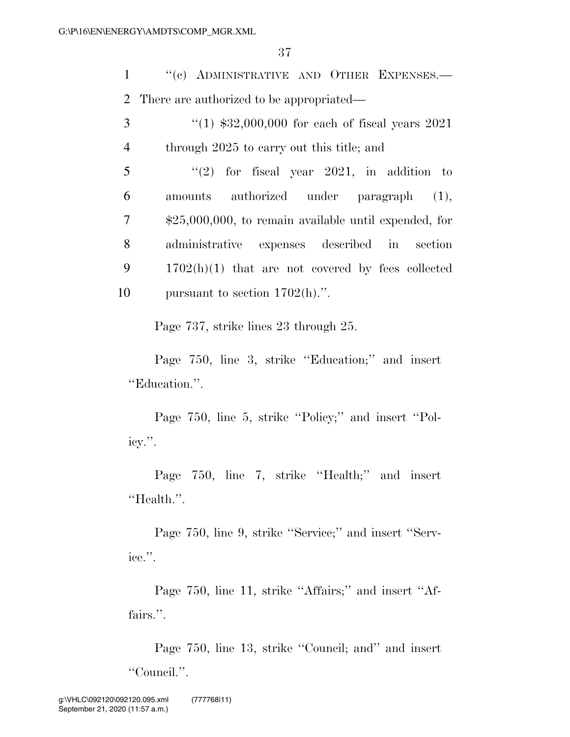1 "(c) ADMINISTRATIVE AND OTHER EXPENSES.— 2 There are authorized to be appropriated—

3 ''(1) \$32,000,000 for each of fiscal years 2021 4 through 2025 to carry out this title; and

 "(2) for fiscal year 2021, in addition to amounts authorized under paragraph (1), \$25,000,000, to remain available until expended, for administrative expenses described in section 1702(h)(1) that are not covered by fees collected 10 pursuant to section  $1702(h)$ .".

Page 737, strike lines 23 through 25.

Page 750, line 3, strike "Education;" and insert ''Education.''.

Page 750, line 5, strike "Policy;" and insert "Policy.''.

Page 750, line 7, strike "Health;" and insert ''Health.''.

Page 750, line 9, strike ''Service;'' and insert ''Service.''.

Page 750, line 11, strike "Affairs;" and insert "Affairs.".

Page 750, line 13, strike ''Council; and'' and insert ''Council.''.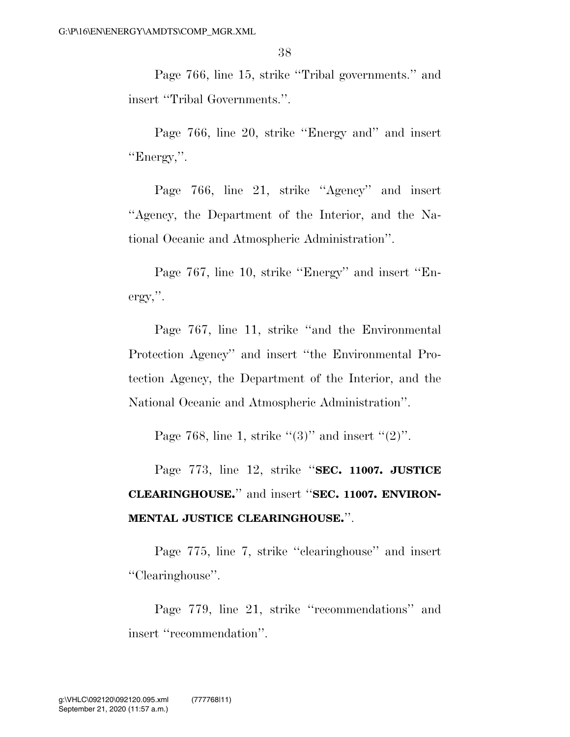Page 766, line 15, strike ''Tribal governments.'' and insert ''Tribal Governments.''.

Page 766, line 20, strike ''Energy and'' and insert ''Energy,''.

Page 766, line 21, strike ''Agency'' and insert ''Agency, the Department of the Interior, and the National Oceanic and Atmospheric Administration''.

Page 767, line 10, strike ''Energy'' and insert ''Energy,''.

Page 767, line 11, strike ''and the Environmental Protection Agency'' and insert ''the Environmental Protection Agency, the Department of the Interior, and the National Oceanic and Atmospheric Administration''.

Page 768, line 1, strike  $\lq(3)$ " and insert  $\lq(2)$ ".

Page 773, line 12, strike ''**SEC. 11007. JUSTICE CLEARINGHOUSE.**'' and insert ''**SEC. 11007. ENVIRON-MENTAL JUSTICE CLEARINGHOUSE.**''.

Page 775, line 7, strike ''clearinghouse'' and insert ''Clearinghouse''.

Page 779, line 21, strike ''recommendations'' and insert ''recommendation''.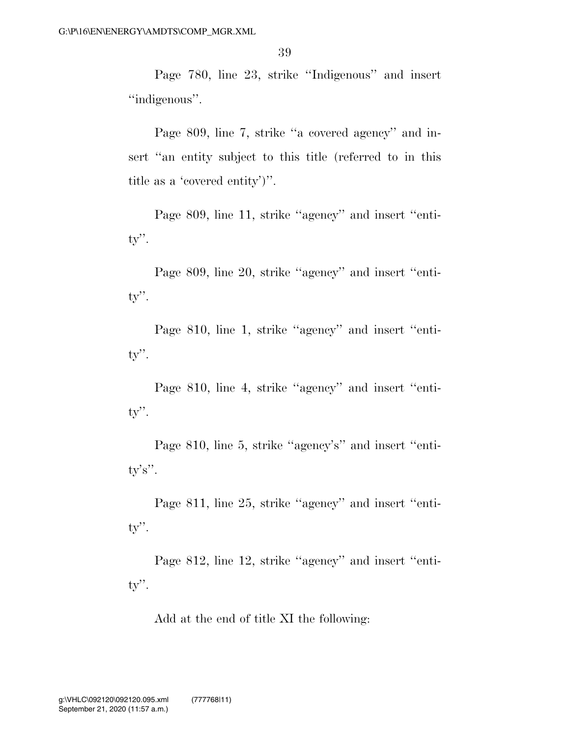Page 780, line 23, strike ''Indigenous'' and insert ''indigenous''.

Page 809, line 7, strike ''a covered agency'' and insert "an entity subject to this title (referred to in this title as a 'covered entity')''.

Page 809, line 11, strike ''agency'' and insert ''entity''.

Page 809, line 20, strike ''agency'' and insert ''entity''.

Page 810, line 1, strike "agency" and insert "entity''.

Page 810, line 4, strike "agency" and insert "entity''.

Page 810, line 5, strike "agency's" and insert "entity's''.

Page 811, line 25, strike "agency" and insert "entity''.

Page 812, line 12, strike ''agency'' and insert ''entity''.

Add at the end of title XI the following: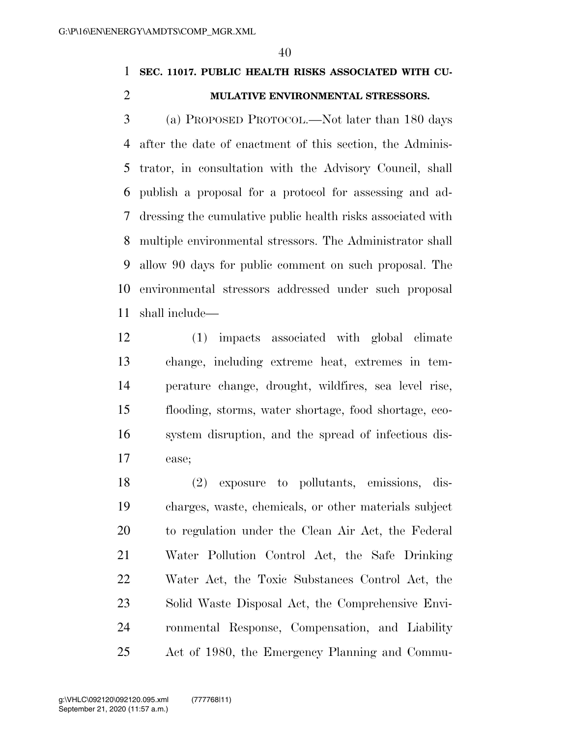### **SEC. 11017. PUBLIC HEALTH RISKS ASSOCIATED WITH CU-**

#### **MULATIVE ENVIRONMENTAL STRESSORS.**

 (a) PROPOSED PROTOCOL.—Not later than 180 days after the date of enactment of this section, the Adminis- trator, in consultation with the Advisory Council, shall publish a proposal for a protocol for assessing and ad- dressing the cumulative public health risks associated with multiple environmental stressors. The Administrator shall allow 90 days for public comment on such proposal. The environmental stressors addressed under such proposal shall include—

 (1) impacts associated with global climate change, including extreme heat, extremes in tem- perature change, drought, wildfires, sea level rise, flooding, storms, water shortage, food shortage, eco- system disruption, and the spread of infectious dis-ease;

 (2) exposure to pollutants, emissions, dis- charges, waste, chemicals, or other materials subject to regulation under the Clean Air Act, the Federal Water Pollution Control Act, the Safe Drinking Water Act, the Toxic Substances Control Act, the Solid Waste Disposal Act, the Comprehensive Envi- ronmental Response, Compensation, and Liability Act of 1980, the Emergency Planning and Commu-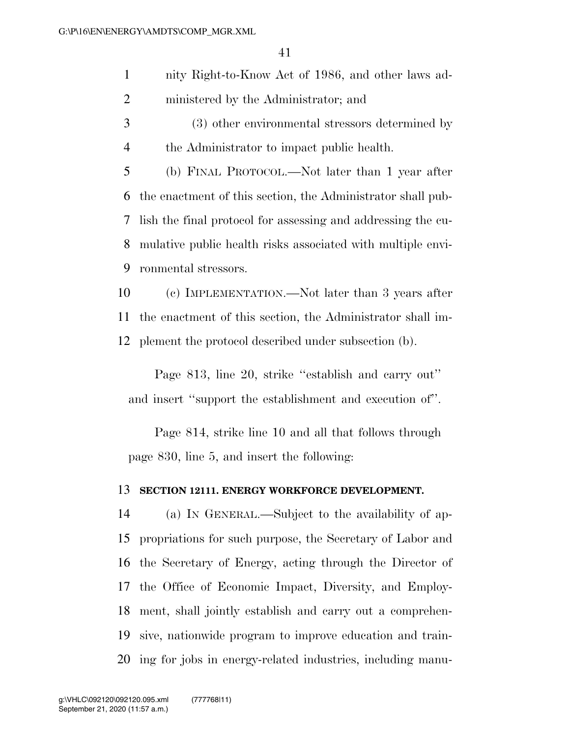- nity Right-to-Know Act of 1986, and other laws ad-ministered by the Administrator; and
- (3) other environmental stressors determined by the Administrator to impact public health.

 (b) FINAL PROTOCOL.—Not later than 1 year after the enactment of this section, the Administrator shall pub- lish the final protocol for assessing and addressing the cu- mulative public health risks associated with multiple envi-ronmental stressors.

 (c) IMPLEMENTATION.—Not later than 3 years after the enactment of this section, the Administrator shall im-plement the protocol described under subsection (b).

Page 813, line 20, strike ''establish and carry out'' and insert ''support the establishment and execution of''.

Page 814, strike line 10 and all that follows through page 830, line 5, and insert the following:

#### **SECTION 12111. ENERGY WORKFORCE DEVELOPMENT.**

 (a) IN GENERAL.—Subject to the availability of ap- propriations for such purpose, the Secretary of Labor and the Secretary of Energy, acting through the Director of the Office of Economic Impact, Diversity, and Employ- ment, shall jointly establish and carry out a comprehen- sive, nationwide program to improve education and train-ing for jobs in energy-related industries, including manu-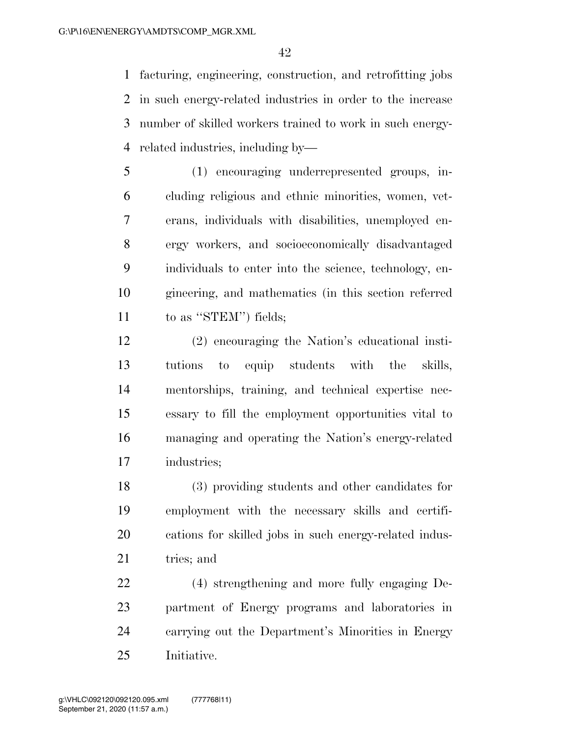facturing, engineering, construction, and retrofitting jobs in such energy-related industries in order to the increase number of skilled workers trained to work in such energy-related industries, including by—

 (1) encouraging underrepresented groups, in- cluding religious and ethnic minorities, women, vet- erans, individuals with disabilities, unemployed en- ergy workers, and socioeconomically disadvantaged individuals to enter into the science, technology, en- gineering, and mathematics (in this section referred to as ''STEM'') fields;

 (2) encouraging the Nation's educational insti- tutions to equip students with the skills, mentorships, training, and technical expertise nec- essary to fill the employment opportunities vital to managing and operating the Nation's energy-related industries;

 (3) providing students and other candidates for employment with the necessary skills and certifi- cations for skilled jobs in such energy-related indus-21 tries; and

 (4) strengthening and more fully engaging De- partment of Energy programs and laboratories in carrying out the Department's Minorities in Energy Initiative.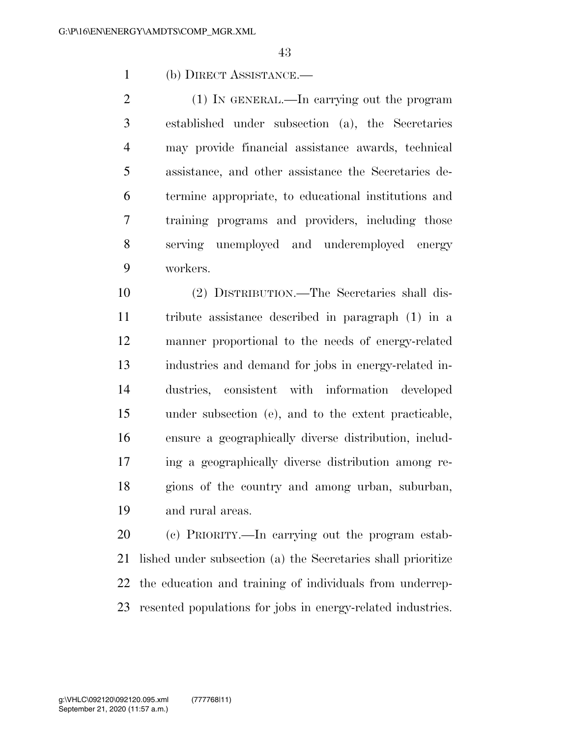(b) DIRECT ASSISTANCE.—

 (1) IN GENERAL.—In carrying out the program established under subsection (a), the Secretaries may provide financial assistance awards, technical assistance, and other assistance the Secretaries de- termine appropriate, to educational institutions and training programs and providers, including those serving unemployed and underemployed energy workers.

 (2) DISTRIBUTION.—The Secretaries shall dis- tribute assistance described in paragraph (1) in a manner proportional to the needs of energy-related industries and demand for jobs in energy-related in- dustries, consistent with information developed under subsection (e), and to the extent practicable, ensure a geographically diverse distribution, includ- ing a geographically diverse distribution among re- gions of the country and among urban, suburban, and rural areas.

 (c) PRIORITY.—In carrying out the program estab- lished under subsection (a) the Secretaries shall prioritize the education and training of individuals from underrep-resented populations for jobs in energy-related industries.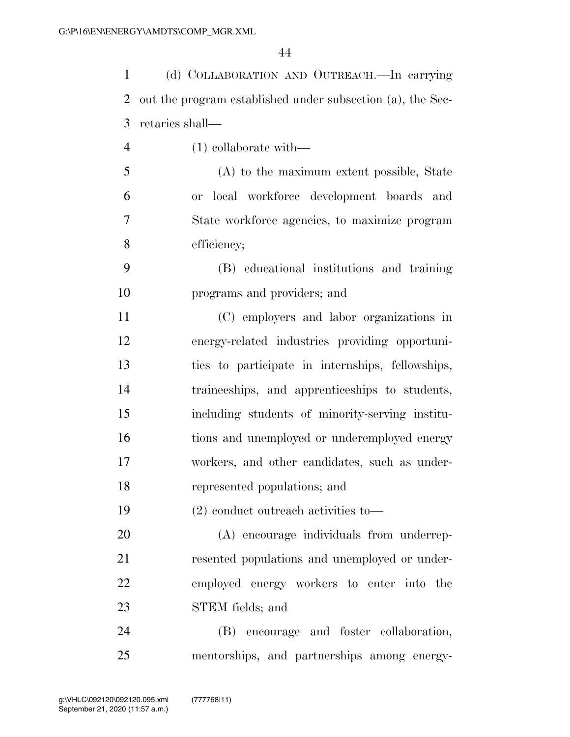| $\mathbf{1}$   | (d) COLLABORATION AND OUTREACH.-In carrying                |
|----------------|------------------------------------------------------------|
| 2              | out the program established under subsection (a), the Sec- |
| 3              | retaries shall—                                            |
| $\overline{4}$ | $(1)$ collaborate with—                                    |
| 5              | (A) to the maximum extent possible, State                  |
| 6              | or local workforce development boards and                  |
| 7              | State workforce agencies, to maximize program              |
| 8              | efficiency;                                                |
| 9              | (B) educational institutions and training                  |
| 10             | programs and providers; and                                |
| 11             | (C) employers and labor organizations in                   |
| 12             | energy-related industries providing opportuni-             |
| 13             | ties to participate in internships, fellowships,           |
| 14             | traineeships, and apprenticeships to students,             |
| 15             | including students of minority-serving institu-            |
| 16             | tions and unemployed or underemployed energy               |
| 17             | workers, and other candidates, such as under-              |
| 18             | represented populations; and                               |
| 19             | $(2)$ conduct outreach activities to-                      |
| 20             | (A) encourage individuals from underrep-                   |
| 21             | resented populations and unemployed or under-              |
| 22             | employed energy workers to enter into the                  |
| 23             | STEM fields; and                                           |
| 24             | encourage and foster collaboration,<br>(B)                 |
| 25             | mentorships, and partnerships among energy-                |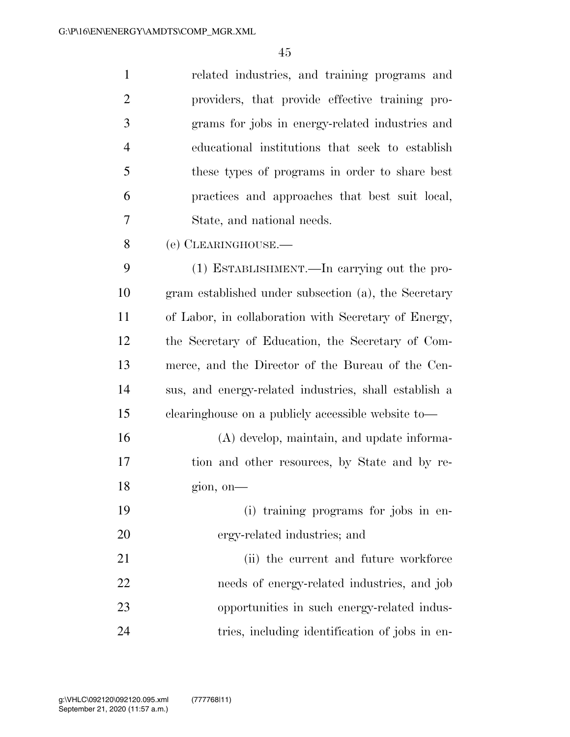| $\mathbf{1}$   | related industries, and training programs and         |
|----------------|-------------------------------------------------------|
| $\overline{2}$ | providers, that provide effective training pro-       |
| 3              | grams for jobs in energy-related industries and       |
| $\overline{4}$ | educational institutions that seek to establish       |
| 5              | these types of programs in order to share best        |
| 6              | practices and approaches that best suit local,        |
| 7              | State, and national needs.                            |
| 8              | (e) CLEARINGHOUSE.                                    |
| 9              | (1) ESTABLISHMENT.—In carrying out the pro-           |
| 10             | gram established under subsection (a), the Secretary  |
| 11             | of Labor, in collaboration with Secretary of Energy,  |
| 12             | the Secretary of Education, the Secretary of Com-     |
| 13             | merce, and the Director of the Bureau of the Cen-     |
| 14             | sus, and energy-related industries, shall establish a |
| 15             | clearinghouse on a publicly accessible website to-    |
| 16             | (A) develop, maintain, and update informa-            |
| 17             | tion and other resources, by State and by re-         |
| 18             | $\gamma$ gion, on-                                    |
| 19             | (i) training programs for jobs in en-                 |
| 20             | ergy-related industries; and                          |
| 21             | (ii) the current and future workforce                 |
| 22             | needs of energy-related industries, and job           |
| 23             | opportunities in such energy-related indus-           |
| 24             | tries, including identification of jobs in en-        |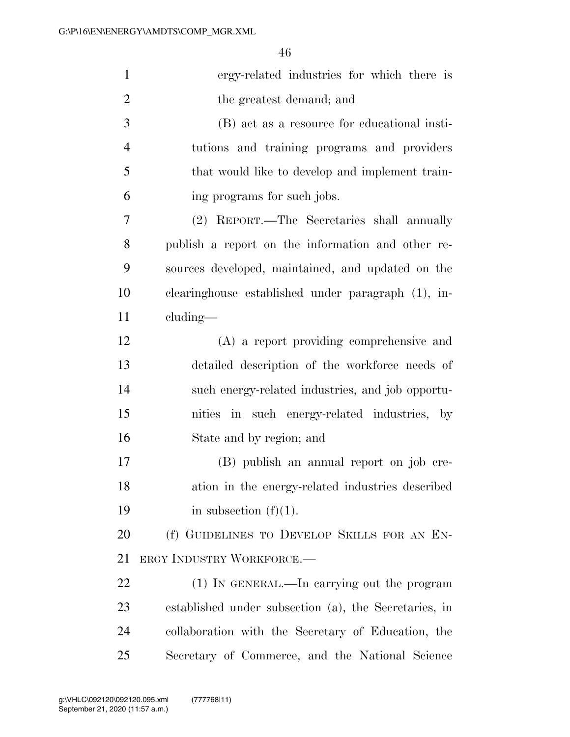| $\mathbf{1}$   | ergy-related industries for which there is            |
|----------------|-------------------------------------------------------|
| $\overline{2}$ | the greatest demand; and                              |
| 3              | (B) act as a resource for educational insti-          |
| $\overline{4}$ | tutions and training programs and providers           |
| 5              | that would like to develop and implement train-       |
| 6              | ing programs for such jobs.                           |
| 7              | (2) REPORT.—The Secretaries shall annually            |
| 8              | publish a report on the information and other re-     |
| 9              | sources developed, maintained, and updated on the     |
| 10             | clearinghouse established under paragraph (1), in-    |
| 11             | cluding—                                              |
| 12             | (A) a report providing comprehensive and              |
| 13             | detailed description of the workforce needs of        |
| 14             | such energy-related industries, and job opportu-      |
| 15             | nities in such energy-related industries, by          |
| 16             | State and by region; and                              |
| 17             | (B) publish an annual report on job cre-              |
| 18             | ation in the energy-related industries described      |
| 19             | in subsection $(f)(1)$ .                              |
| 20             | (f) GUIDELINES TO DEVELOP SKILLS FOR AN EN-           |
| 21             | ERGY INDUSTRY WORKFORCE.                              |
| 22             | (1) IN GENERAL.—In carrying out the program           |
| 23             | established under subsection (a), the Secretaries, in |
| 24             | collaboration with the Secretary of Education, the    |
| 25             | Secretary of Commerce, and the National Science       |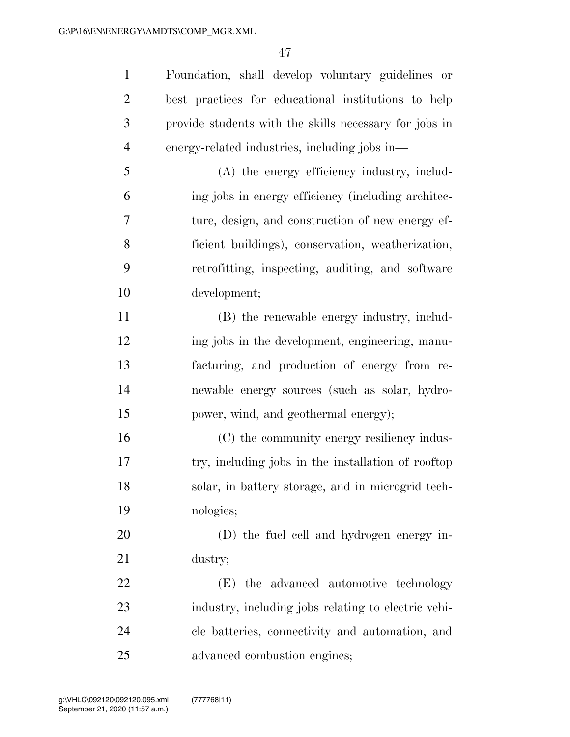Foundation, shall develop voluntary guidelines or best practices for educational institutions to help provide students with the skills necessary for jobs in energy-related industries, including jobs in—

 (A) the energy efficiency industry, includ- ing jobs in energy efficiency (including architec- ture, design, and construction of new energy ef- ficient buildings), conservation, weatherization, retrofitting, inspecting, auditing, and software development;

 (B) the renewable energy industry, includ- ing jobs in the development, engineering, manu- facturing, and production of energy from re- newable energy sources (such as solar, hydro-power, wind, and geothermal energy);

 (C) the community energy resiliency indus- try, including jobs in the installation of rooftop solar, in battery storage, and in microgrid tech-nologies;

 (D) the fuel cell and hydrogen energy in-dustry;

 (E) the advanced automotive technology industry, including jobs relating to electric vehi- cle batteries, connectivity and automation, and advanced combustion engines;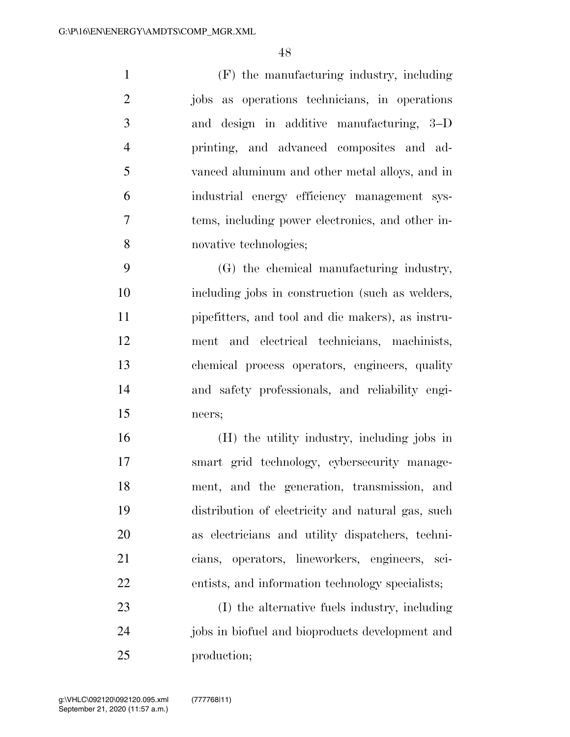(F) the manufacturing industry, including jobs as operations technicians, in operations and design in additive manufacturing, 3–D printing, and advanced composites and ad- vanced aluminum and other metal alloys, and in industrial energy efficiency management sys- tems, including power electronics, and other in-novative technologies;

 (G) the chemical manufacturing industry, including jobs in construction (such as welders, pipefitters, and tool and die makers), as instru- ment and electrical technicians, machinists, chemical process operators, engineers, quality and safety professionals, and reliability engi-neers;

 (H) the utility industry, including jobs in smart grid technology, cybersecurity manage- ment, and the generation, transmission, and distribution of electricity and natural gas, such as electricians and utility dispatchers, techni- cians, operators, lineworkers, engineers, sci-entists, and information technology specialists;

 (I) the alternative fuels industry, including jobs in biofuel and bioproducts development and production;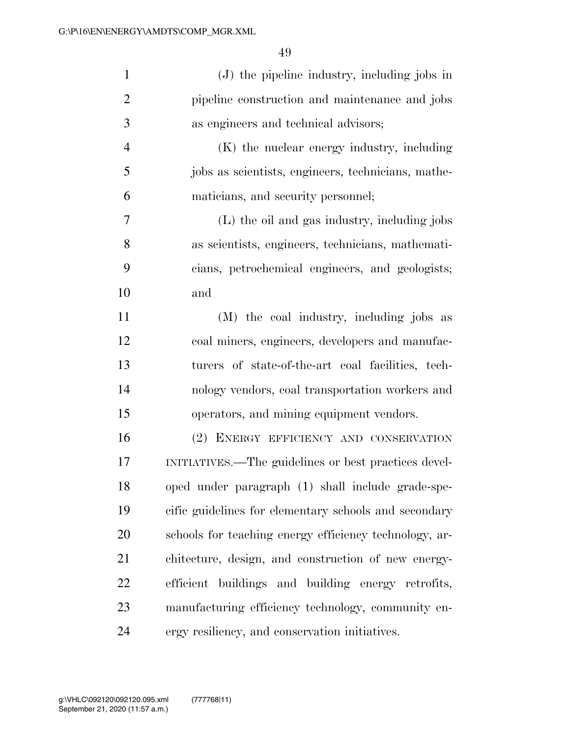| $\mathbf{1}$   | $(J)$ the pipeline industry, including jobs in         |
|----------------|--------------------------------------------------------|
| $\overline{2}$ | pipeline construction and maintenance and jobs         |
| 3              | as engineers and technical advisors;                   |
| $\overline{4}$ | (K) the nuclear energy industry, including             |
| 5              | jobs as scientists, engineers, technicians, mathe-     |
| 6              | maticians, and security personnel;                     |
| 7              | (L) the oil and gas industry, including jobs           |
| 8              | as scientists, engineers, technicians, mathemati-      |
| 9              | cians, petrochemical engineers, and geologists;        |
| 10             | and                                                    |
| 11             | (M) the coal industry, including jobs as               |
| 12             | coal miners, engineers, developers and manufac-        |
| 13             | turers of state-of-the-art coal facilities, tech-      |
| 14             | nology vendors, coal transportation workers and        |
| 15             | operators, and mining equipment vendors.               |
| 16             | (2) ENERGY EFFICIENCY AND CONSERVATION                 |
| 17             | INITIATIVES.—The guidelines or best practices devel-   |
| 18             | oped under paragraph (1) shall include grade-spe-      |
| 19             | cific guidelines for elementary schools and secondary  |
| 20             | schools for teaching energy efficiency technology, ar- |
| 21             | chitecture, design, and construction of new energy-    |
| 22             | efficient buildings and building energy retrofits,     |
| 23             | manufacturing efficiency technology, community en-     |
| 24             | ergy resiliency, and conservation initiatives.         |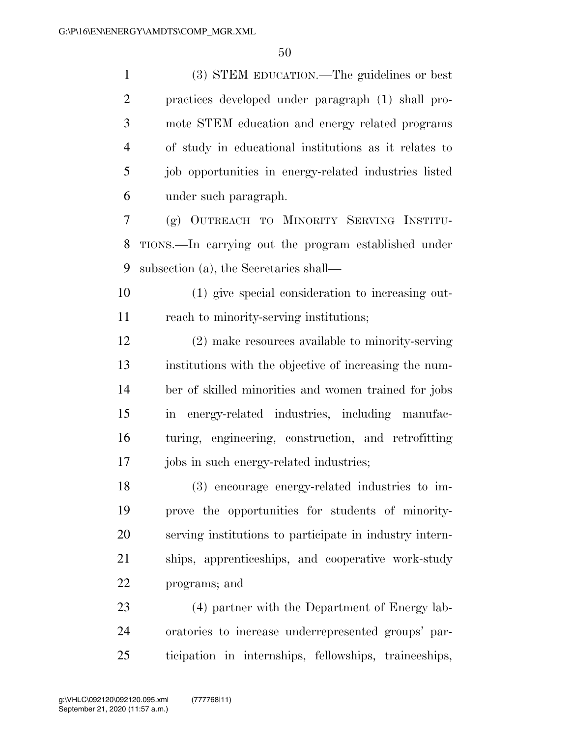(3) STEM EDUCATION.—The guidelines or best practices developed under paragraph (1) shall pro- mote STEM education and energy related programs of study in educational institutions as it relates to 5 job opportunities in energy-related industries listed under such paragraph.

 (g) OUTREACH TO MINORITY SERVING INSTITU- TIONS.—In carrying out the program established under subsection (a), the Secretaries shall—

 (1) give special consideration to increasing out-reach to minority-serving institutions;

 (2) make resources available to minority-serving institutions with the objective of increasing the num- ber of skilled minorities and women trained for jobs in energy-related industries, including manufac- turing, engineering, construction, and retrofitting 17 jobs in such energy-related industries;

 (3) encourage energy-related industries to im- prove the opportunities for students of minority- serving institutions to participate in industry intern- ships, apprenticeships, and cooperative work-study programs; and

 (4) partner with the Department of Energy lab- oratories to increase underrepresented groups' par-ticipation in internships, fellowships, traineeships,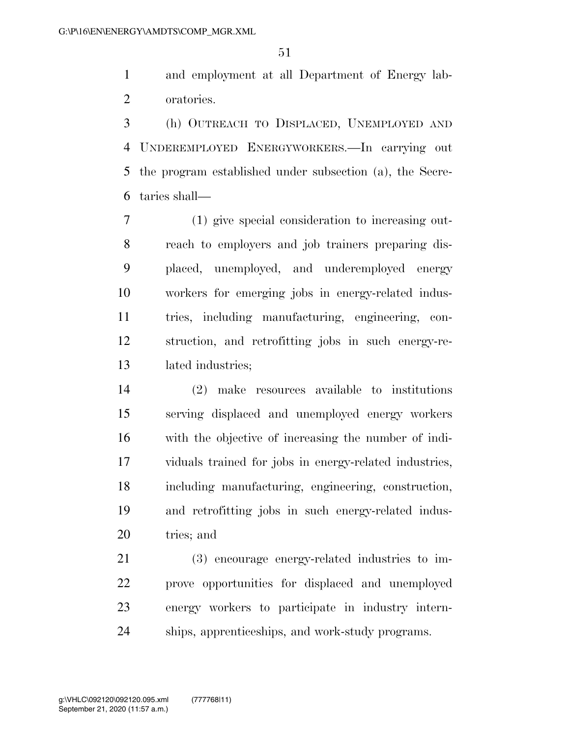and employment at all Department of Energy lab-oratories.

 (h) OUTREACH TO DISPLACED, UNEMPLOYED AND UNDEREMPLOYED ENERGYWORKERS.—In carrying out the program established under subsection (a), the Secre-taries shall—

 (1) give special consideration to increasing out- reach to employers and job trainers preparing dis- placed, unemployed, and underemployed energy workers for emerging jobs in energy-related indus- tries, including manufacturing, engineering, con- struction, and retrofitting jobs in such energy-re-lated industries;

 (2) make resources available to institutions serving displaced and unemployed energy workers with the objective of increasing the number of indi- viduals trained for jobs in energy-related industries, including manufacturing, engineering, construction, and retrofitting jobs in such energy-related indus-tries; and

 (3) encourage energy-related industries to im- prove opportunities for displaced and unemployed energy workers to participate in industry intern-ships, apprenticeships, and work-study programs.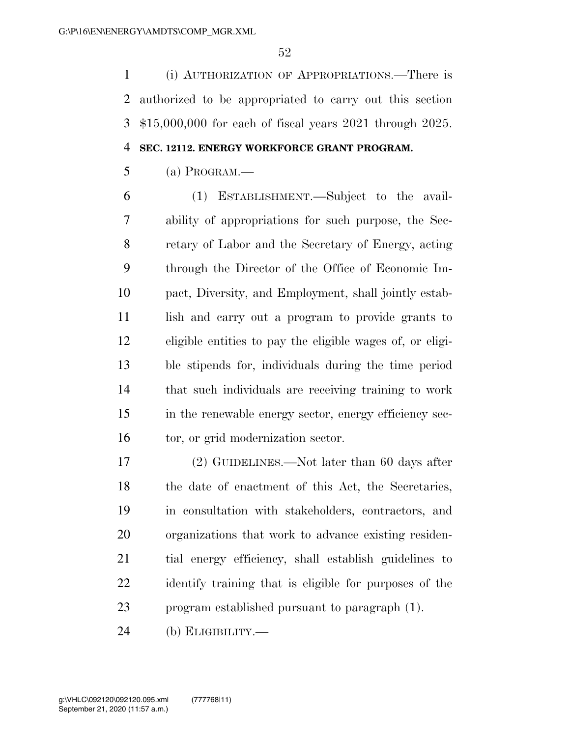(i) AUTHORIZATION OF APPROPRIATIONS.—There is authorized to be appropriated to carry out this section \$15,000,000 for each of fiscal years 2021 through 2025.

#### **SEC. 12112. ENERGY WORKFORCE GRANT PROGRAM.**

 $5 \qquad \qquad (a) \text{ *PROGRAM*}.$ 

 (1) ESTABLISHMENT.—Subject to the avail- ability of appropriations for such purpose, the Sec- retary of Labor and the Secretary of Energy, acting through the Director of the Office of Economic Im- pact, Diversity, and Employment, shall jointly estab- lish and carry out a program to provide grants to eligible entities to pay the eligible wages of, or eligi- ble stipends for, individuals during the time period that such individuals are receiving training to work in the renewable energy sector, energy efficiency sec-16 tor, or grid modernization sector.

 (2) GUIDELINES.—Not later than 60 days after the date of enactment of this Act, the Secretaries, in consultation with stakeholders, contractors, and organizations that work to advance existing residen- tial energy efficiency, shall establish guidelines to identify training that is eligible for purposes of the program established pursuant to paragraph (1).

(b) ELIGIBILITY.—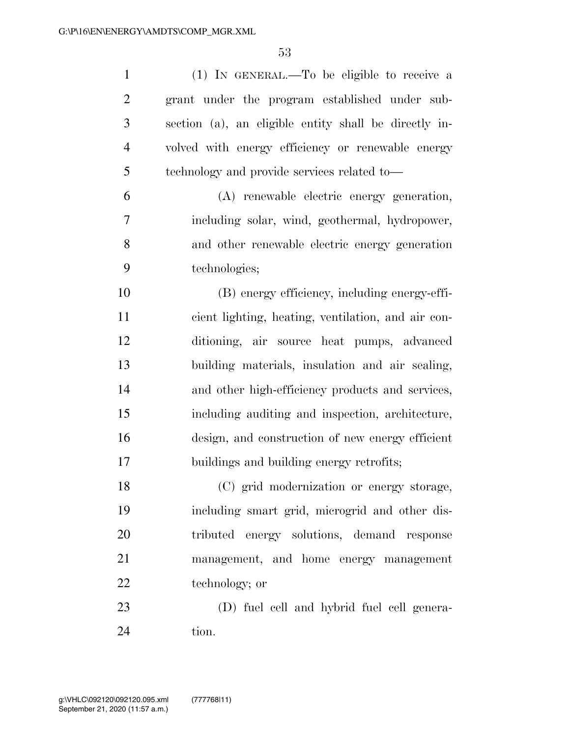| $\mathbf{1}$   | (1) IN GENERAL.—To be eligible to receive a           |
|----------------|-------------------------------------------------------|
| $\overline{2}$ | grant under the program established under sub-        |
| 3              | section (a), an eligible entity shall be directly in- |
| $\overline{4}$ | volved with energy efficiency or renewable energy     |
| 5              | technology and provide services related to—           |
| 6              | (A) renewable electric energy generation,             |
| 7              | including solar, wind, geothermal, hydropower,        |
| 8              | and other renewable electric energy generation        |
| 9              | technologies;                                         |
| 10             | (B) energy efficiency, including energy-effi-         |
| 11             | cient lighting, heating, ventilation, and air con-    |
| 12             | ditioning, air source heat pumps, advanced            |
| 13             | building materials, insulation and air sealing,       |
| 14             | and other high-efficiency products and services,      |
| 15             | including auditing and inspection, architecture,      |
| 16             | design, and construction of new energy efficient      |
| 17             | buildings and building energy retrofits;              |
| 18             | (C) grid modernization or energy storage,             |
| 19             | including smart grid, microgrid and other dis-        |
| 20             | tributed energy solutions, demand response            |
| 21             | management, and home energy management                |
| 22             | technology; or                                        |
| 23             | (D) fuel cell and hybrid fuel cell genera-            |
| 24             | tion.                                                 |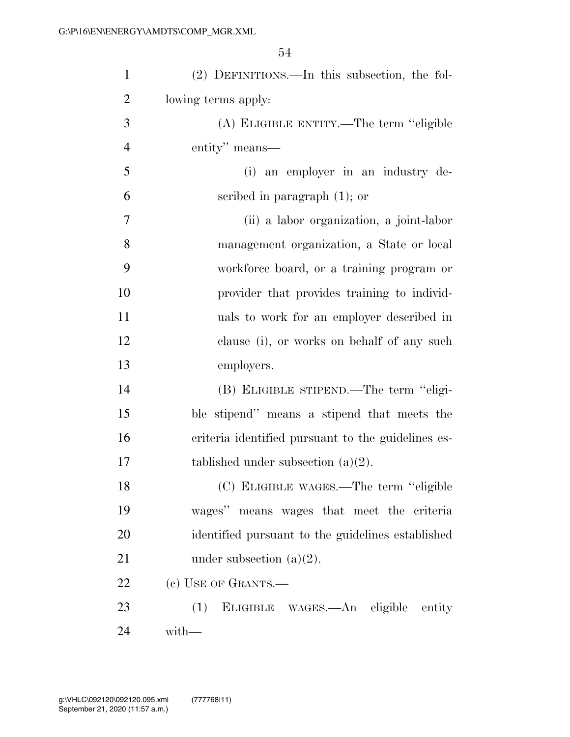| $\mathbf{1}$   | (2) DEFINITIONS.—In this subsection, the fol-      |
|----------------|----------------------------------------------------|
| $\overline{2}$ | lowing terms apply:                                |
| 3              | (A) ELIGIBLE ENTITY.—The term "eligible            |
| $\overline{4}$ | entity" means—                                     |
| 5              | (i) an employer in an industry de-                 |
| 6              | scribed in paragraph $(1)$ ; or                    |
| 7              | (ii) a labor organization, a joint-labor           |
| $8\,$          | management organization, a State or local          |
| 9              | workforce board, or a training program or          |
| 10             | provider that provides training to individ-        |
| 11             | uals to work for an employer described in          |
| 12             | clause (i), or works on behalf of any such         |
| 13             | employers.                                         |
| 14             | (B) ELIGIBLE STIPEND.—The term "eligi-             |
| 15             | ble stipend" means a stipend that meets the        |
| 16             | criteria identified pursuant to the guidelines es- |
| 17             | tablished under subsection $(a)(2)$ .              |
| 18             | (C) ELIGIBLE WAGES.—The term "eligible             |
| 19             | wages" means wages that meet the criteria          |
| 20             | identified pursuant to the guidelines established  |
| 21             | under subsection $(a)(2)$ .                        |
| 22             | (c) USE OF GRANTS.-                                |
| 23             | (1) ELIGIBLE WAGES.—An eligible entity             |
| 24             | with-                                              |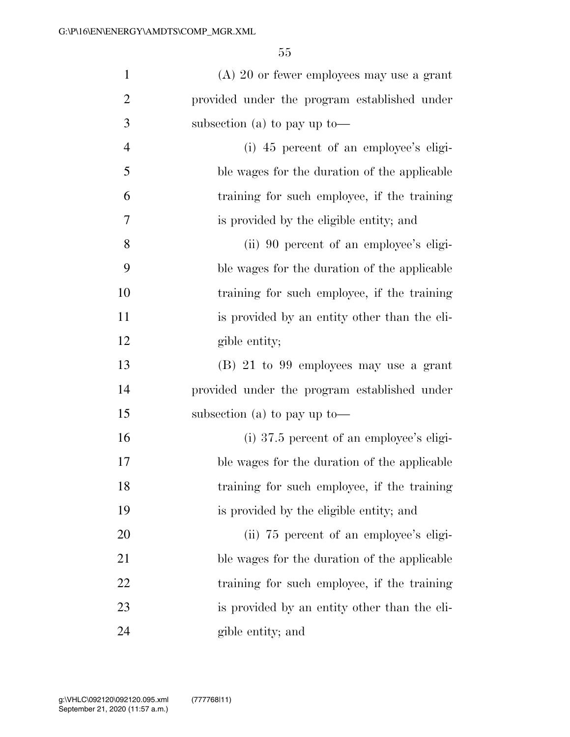| $\mathbf{1}$   | $(A)$ 20 or fewer employees may use a grant  |
|----------------|----------------------------------------------|
| $\overline{2}$ | provided under the program established under |
| 3              | subsection (a) to pay up to —                |
| $\overline{4}$ | (i) 45 percent of an employee's eligi-       |
| 5              | ble wages for the duration of the applicable |
| 6              | training for such employee, if the training  |
| 7              | is provided by the eligible entity; and      |
| 8              | (ii) 90 percent of an employee's eligi-      |
| 9              | ble wages for the duration of the applicable |
| 10             | training for such employee, if the training  |
| 11             | is provided by an entity other than the eli- |
| 12             | gible entity;                                |
| 13             | $(B)$ 21 to 99 employees may use a grant     |
| 14             | provided under the program established under |
| 15             | subsection (a) to pay up to —                |
| 16             | $(i)$ 37.5 percent of an employee's eligi-   |
| 17             | ble wages for the duration of the applicable |
| 18             | training for such employee, if the training  |
| 19             | is provided by the eligible entity; and      |
| 20             | (ii) 75 percent of an employee's eligi-      |
| 21             | ble wages for the duration of the applicable |
| 22             | training for such employee, if the training  |
| 23             | is provided by an entity other than the eli- |
| 24             | gible entity; and                            |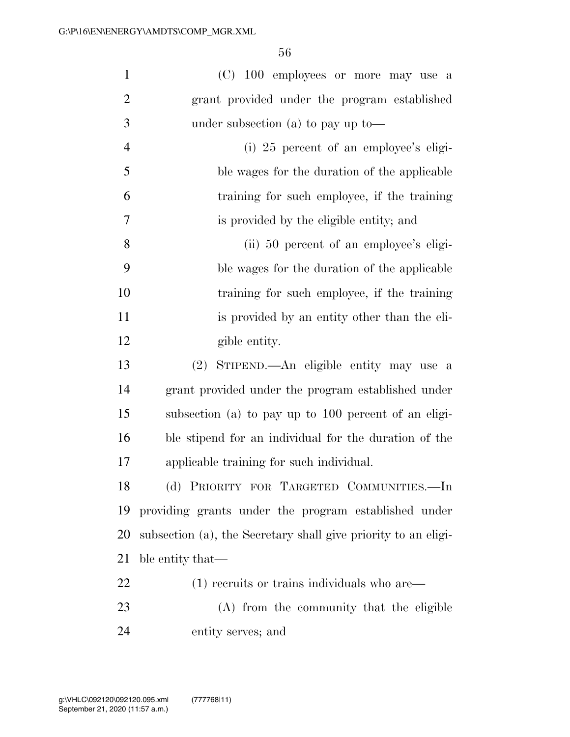| $\mathbf{1}$   | (C) 100 employees or more may use a                            |
|----------------|----------------------------------------------------------------|
| $\overline{2}$ | grant provided under the program established                   |
| 3              | under subsection (a) to pay up to —                            |
| $\overline{4}$ | $(i)$ 25 percent of an employee's eligi-                       |
| 5              | ble wages for the duration of the applicable                   |
| 6              | training for such employee, if the training                    |
| $\overline{7}$ | is provided by the eligible entity; and                        |
| 8              | (ii) 50 percent of an employee's eligi-                        |
| 9              | ble wages for the duration of the applicable                   |
| 10             | training for such employee, if the training                    |
| 11             | is provided by an entity other than the eli-                   |
| 12             | gible entity.                                                  |
| 13             | (2) STIPEND.—An eligible entity may use a                      |
| 14             | grant provided under the program established under             |
| 15             | subsection (a) to pay up to 100 percent of an eligi-           |
| 16             | ble stipend for an individual for the duration of the          |
| 17             | applicable training for such individual.                       |
| 18             | (d) PRIORITY FOR TARGETED COMMUNITIES.-In                      |
| 19             | providing grants under the program established under           |
| 20             | subsection (a), the Secretary shall give priority to an eligi- |
| 21             | ble entity that—                                               |
| 22             | $(1)$ recruits or trains individuals who are                   |
| 23             | (A) from the community that the eligible                       |
| 24             | entity serves; and                                             |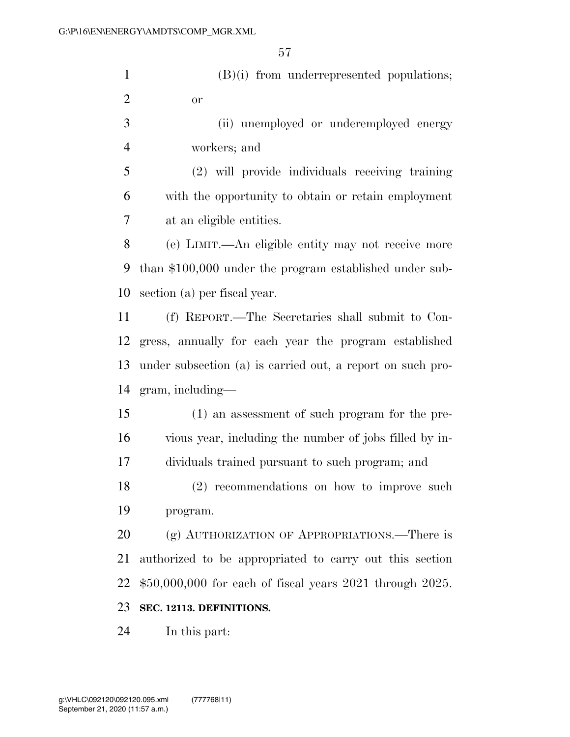(B)(i) from underrepresented populations; or (ii) unemployed or underemployed energy workers; and

 (2) will provide individuals receiving training with the opportunity to obtain or retain employment at an eligible entities.

 (e) LIMIT.—An eligible entity may not receive more than \$100,000 under the program established under sub-section (a) per fiscal year.

 (f) REPORT.—The Secretaries shall submit to Con- gress, annually for each year the program established under subsection (a) is carried out, a report on such pro-gram, including—

 (1) an assessment of such program for the pre- vious year, including the number of jobs filled by in-dividuals trained pursuant to such program; and

 (2) recommendations on how to improve such program.

20 (g) AUTHORIZATION OF APPROPRIATIONS.—There is authorized to be appropriated to carry out this section \$50,000,000 for each of fiscal years 2021 through 2025.

#### **SEC. 12113. DEFINITIONS.**

In this part: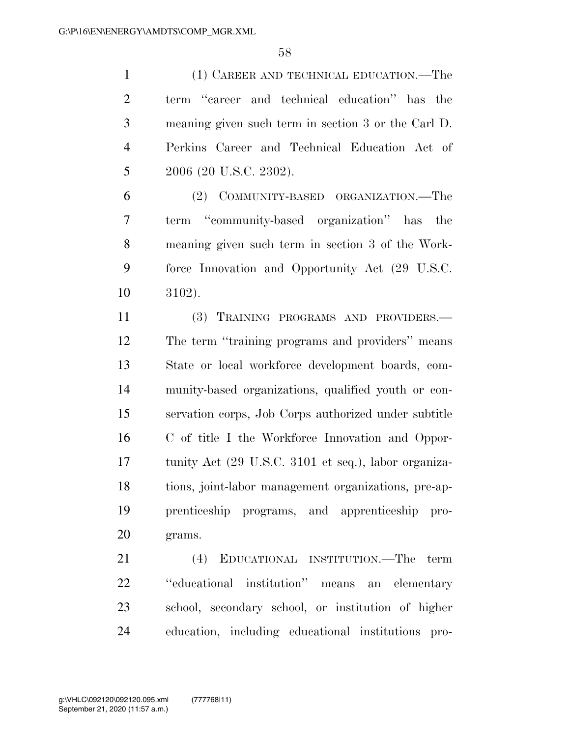(1) CAREER AND TECHNICAL EDUCATION.—The term ''career and technical education'' has the meaning given such term in section 3 or the Carl D. Perkins Career and Technical Education Act of 5 2006 (20 U.S.C. 2302).

 (2) COMMUNITY-BASED ORGANIZATION.—The term ''community-based organization'' has the meaning given such term in section 3 of the Work- force Innovation and Opportunity Act (29 U.S.C. 3102).

 (3) TRAINING PROGRAMS AND PROVIDERS.— The term ''training programs and providers'' means State or local workforce development boards, com- munity-based organizations, qualified youth or con- servation corps, Job Corps authorized under subtitle C of title I the Workforce Innovation and Oppor- tunity Act (29 U.S.C. 3101 et seq.), labor organiza- tions, joint-labor management organizations, pre-ap- prenticeship programs, and apprenticeship pro-grams.

 (4) EDUCATIONAL INSTITUTION.—The term ''educational institution'' means an elementary school, secondary school, or institution of higher education, including educational institutions pro-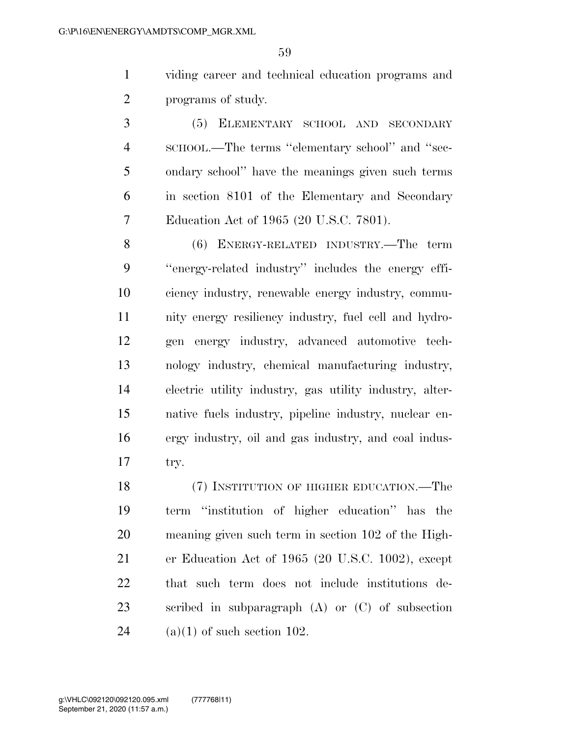viding career and technical education programs and programs of study.

 (5) ELEMENTARY SCHOOL AND SECONDARY SCHOOL.—The terms ''elementary school'' and ''sec- ondary school'' have the meanings given such terms in section 8101 of the Elementary and Secondary Education Act of 1965 (20 U.S.C. 7801).

 (6) ENERGY-RELATED INDUSTRY.—The term ''energy-related industry'' includes the energy effi- ciency industry, renewable energy industry, commu- nity energy resiliency industry, fuel cell and hydro- gen energy industry, advanced automotive tech- nology industry, chemical manufacturing industry, electric utility industry, gas utility industry, alter- native fuels industry, pipeline industry, nuclear en- ergy industry, oil and gas industry, and coal indus-try.

 (7) INSTITUTION OF HIGHER EDUCATION.—The term ''institution of higher education'' has the meaning given such term in section 102 of the High- er Education Act of 1965 (20 U.S.C. 1002), except that such term does not include institutions de- scribed in subparagraph (A) or (C) of subsection 24 (a)(1) of such section 102.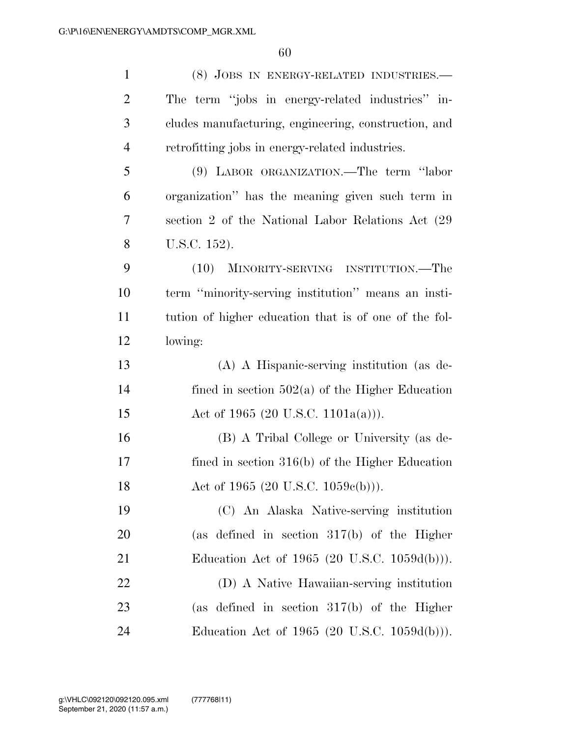| $\mathbf{1}$   | (8) JOBS IN ENERGY-RELATED INDUSTRIES.-               |
|----------------|-------------------------------------------------------|
| $\overline{2}$ | The term "jobs in energy-related industries" in-      |
| 3              | cludes manufacturing, engineering, construction, and  |
| $\overline{4}$ | retrofitting jobs in energy-related industries.       |
| 5              | (9) LABOR ORGANIZATION.—The term "labor               |
| 6              | organization" has the meaning given such term in      |
| 7              | section 2 of the National Labor Relations Act (29)    |
| 8              | U.S.C. 152).                                          |
| 9              | (10) MINORITY-SERVING INSTITUTION.—The                |
| 10             | term "minority-serving institution" means an insti-   |
| 11             | tution of higher education that is of one of the fol- |
| 12             | lowing:                                               |
| 13             | (A) A Hispanic-serving institution (as de-            |
| 14             | fined in section $502(a)$ of the Higher Education     |
| 15             | Act of 1965 (20 U.S.C. 1101a(a))).                    |
| 16             | (B) A Tribal College or University (as de-            |
| 17             | fined in section $316(b)$ of the Higher Education     |
| 18             | Act of 1965 (20 U.S.C. 1059 $e(b)$ )).                |
| 19             | (C) An Alaska Native-serving institution              |
| 20             | (as defined in section $317(b)$ of the Higher         |
| 21             | Education Act of 1965 (20 U.S.C. $1059d(b)$ ).        |
| 22             | (D) A Native Hawaiian-serving institution             |
| 23             | (as defined in section $317(b)$ of the Higher         |
| 24             | Education Act of 1965 (20 U.S.C. 1059d(b))).          |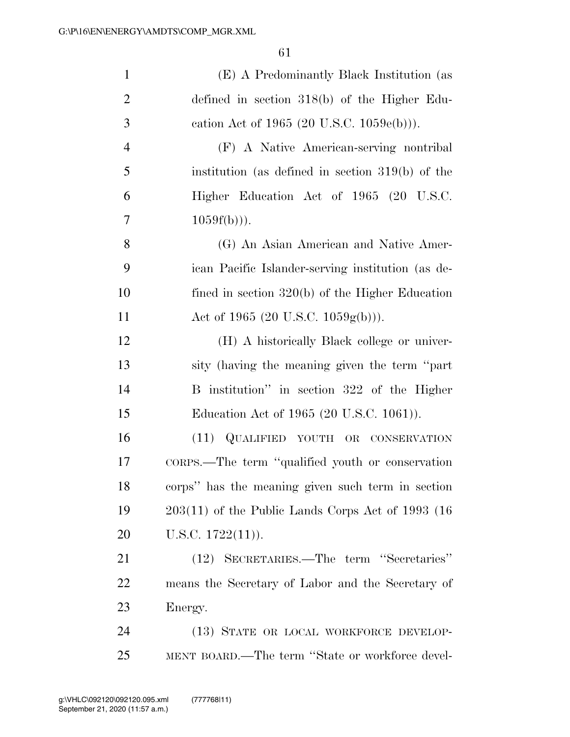| $\mathbf{1}$   | (E) A Predominantly Black Institution (as            |
|----------------|------------------------------------------------------|
| $\overline{2}$ | defined in section $318(b)$ of the Higher Edu-       |
| 3              | cation Act of 1965 (20 U.S.C. $1059e(b)$ )).         |
| $\overline{4}$ | (F) A Native American-serving nontribal              |
| 5              | institution (as defined in section $319(b)$ ) of the |
| 6              | Higher Education Act of 1965 (20 U.S.C.              |
| 7              | $1059f(b))$ .                                        |
| 8              | (G) An Asian American and Native Amer-               |
| 9              | ican Pacific Islander-serving institution (as de-    |
| 10             | fined in section $320(b)$ of the Higher Education    |
| 11             | Act of 1965 (20 U.S.C. 1059g(b))).                   |
| 12             | (H) A historically Black college or univer-          |
| 13             | sity (having the meaning given the term "part"       |
| 14             | B institution" in section 322 of the Higher          |
| 15             | Education Act of 1965 (20 U.S.C. 1061)).             |
| 16             | (11) QUALIFIED YOUTH OR CONSERVATION                 |
| 17             | CORPS.—The term "qualified youth or conservation     |
| 18             | corps" has the meaning given such term in section    |
| 19             | $203(11)$ of the Public Lands Corps Act of 1993 (16) |
| 20             | U.S.C. $1722(11)$ ).                                 |
| 21             | (12) SECRETARIES.—The term "Secretaries"             |
| 22             | means the Secretary of Labor and the Secretary of    |
| 23             | Energy.                                              |
| 24             | (13) STATE OR LOCAL WORKFORCE DEVELOP-               |
| 25             | MENT BOARD.—The term "State or workforce devel-      |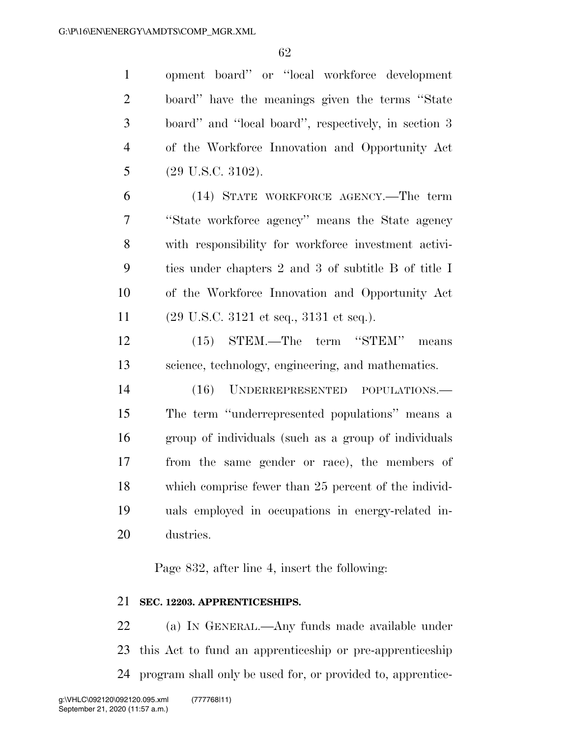opment board'' or ''local workforce development board'' have the meanings given the terms ''State board'' and ''local board'', respectively, in section 3 of the Workforce Innovation and Opportunity Act (29 U.S.C. 3102).

 (14) STATE WORKFORCE AGENCY.—The term ''State workforce agency'' means the State agency with responsibility for workforce investment activi- ties under chapters 2 and 3 of subtitle B of title I of the Workforce Innovation and Opportunity Act (29 U.S.C. 3121 et seq., 3131 et seq.).

 (15) STEM.—The term ''STEM'' means science, technology, engineering, and mathematics.

 (16) UNDERREPRESENTED POPULATIONS.— The term ''underrepresented populations'' means a group of individuals (such as a group of individuals from the same gender or race), the members of which comprise fewer than 25 percent of the individ- uals employed in occupations in energy-related in-dustries.

Page 832, after line 4, insert the following:

#### **SEC. 12203. APPRENTICESHIPS.**

 (a) IN GENERAL.—Any funds made available under this Act to fund an apprenticeship or pre-apprenticeship program shall only be used for, or provided to, apprentice-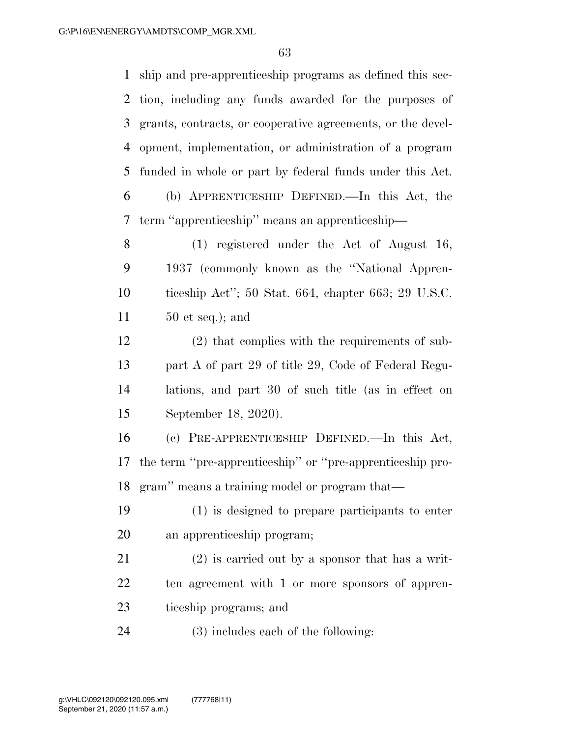| $\mathbf{1}$   | ship and pre-apprenticeship programs as defined this sec-   |
|----------------|-------------------------------------------------------------|
| 2              | tion, including any funds awarded for the purposes of       |
| 3              | grants, contracts, or cooperative agreements, or the devel- |
| $\overline{4}$ | opment, implementation, or administration of a program      |
| 5              | funded in whole or part by federal funds under this Act.    |
| 6              | (b) APPRENTICESHIP DEFINED.—In this Act, the                |
| 7              | term "apprenticeship" means an apprenticeship—              |
| 8              | $(1)$ registered under the Act of August 16,                |
| 9              | 1937 (commonly known as the "National Appren-               |
| 10             | ticeship Act"; 50 Stat. 664, chapter 663; 29 U.S.C.         |
| 11             | $50$ et seq.); and                                          |
| 12             | $(2)$ that complies with the requirements of sub-           |
| 13             | part A of part 29 of title 29, Code of Federal Regu-        |
| 14             | lations, and part 30 of such title (as in effect on         |
| 15             | September 18, 2020).                                        |
| 16             | (c) PRE-APPRENTICESHIP DEFINED.—In this Act,                |
| 17             | the term "pre-apprenticeship" or "pre-apprenticeship pro-   |
| 18             | gram" means a training model or program that—               |
| 19             | (1) is designed to prepare participants to enter            |
| 20             | an apprenticeship program;                                  |
| 21             | $(2)$ is carried out by a sponsor that has a writ-          |
| 22             | ten agreement with 1 or more sponsors of appren-            |
| 23             | ticeship programs; and                                      |
| $2\pi$         | $(2)$ includes each of the following.                       |

(3) includes each of the following: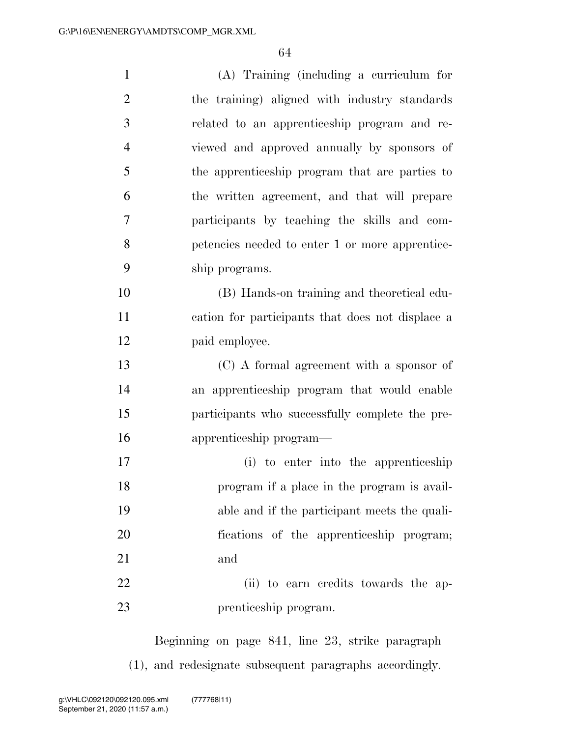| $\mathbf{1}$   | $(A)$ Training (including a curriculum for       |
|----------------|--------------------------------------------------|
| $\overline{2}$ | the training) aligned with industry standards    |
| 3              | related to an apprenticeship program and re-     |
| $\overline{4}$ | viewed and approved annually by sponsors of      |
| 5              | the apprenticeship program that are parties to   |
| 6              | the written agreement, and that will prepare     |
| 7              | participants by teaching the skills and com-     |
| 8              | petencies needed to enter 1 or more apprentice-  |
| 9              | ship programs.                                   |
| 10             | (B) Hands-on training and theoretical edu-       |
| 11             | cation for participants that does not displace a |
| 12             | paid employee.                                   |
| 13             | (C) A formal agreement with a sponsor of         |
| 14             | an apprenticeship program that would enable      |
| 15             | participants who successfully complete the pre-  |
| 16             | apprenticeship program—                          |
| 17             | (i) to enter into the apprenticeship             |
| 18             | program if a place in the program is avail-      |
| 19             | able and if the participant meets the quali-     |
| 20             | fications of the apprenticeship program;         |
| 21             | and                                              |
| 22             | (ii) to earn credits towards the ap-             |
| 23             | prenticeship program.                            |

Beginning on page 841, line 23, strike paragraph (1), and redesignate subsequent paragraphs accordingly.